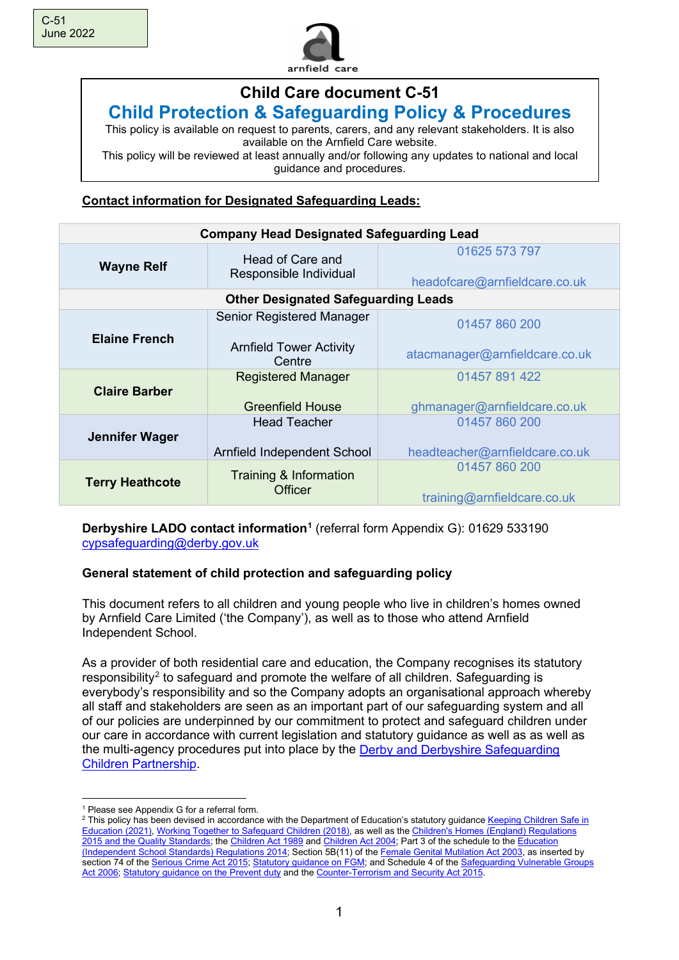

# **Child Care document C-51 Child Protection & Safeguarding Policy & Procedures**

This policy is available on request to parents, carers, and any relevant stakeholders. It is also available on the Arnfield Care website.

This policy will be reviewed at least annually and/or following any updates to national and local guidance and procedures.

# **Contact information for Designated Safeguarding Leads:**

| <b>Company Head Designated Safeguarding Lead</b> |                                            |                                                |  |
|--------------------------------------------------|--------------------------------------------|------------------------------------------------|--|
| <b>Wayne Relf</b>                                | Head of Care and<br>Responsible Individual | 01625 573 797<br>headofcare@arnfieldcare.co.uk |  |
|                                                  | <b>Other Designated Safeguarding Leads</b> |                                                |  |
|                                                  | Senior Registered Manager                  | 01457 860 200                                  |  |
| <b>Elaine French</b>                             | <b>Arnfield Tower Activity</b><br>Centre   | atacmanager@arnfieldcare.co.uk                 |  |
|                                                  | <b>Registered Manager</b>                  | 01457 891 422                                  |  |
| <b>Claire Barber</b>                             | <b>Greenfield House</b>                    | ghmanager@arnfieldcare.co.uk                   |  |
| Jennifer Wager                                   | <b>Head Teacher</b>                        | 01457 860 200                                  |  |
|                                                  | Arnfield Independent School                | headteacher@arnfieldcare.co.uk                 |  |
| <b>Terry Heathcote</b>                           | Training & Information<br>Officer          | 01457 860 200<br>training@arnfieldcare.co.uk   |  |

### **Derbyshire LADO contact information[1](#page-0-0)** (referral form Appendix G): 01629 533190 [cypsafeguarding@derby.gov.uk](mailto:cypsafeguarding@derby.gov.uk)

# **General statement of child protection and safeguarding policy**

This document refers to all children and young people who live in children's homes owned by Arnfield Care Limited ('the Company'), as well as to those who attend Arnfield Independent School.

As a provider of both residential care and education, the Company recognises its statutory responsibility<sup>[2](#page-0-1)</sup> to safeguard and promote the welfare of all children. Safeguarding is everybody's responsibility and so the Company adopts an organisational approach whereby all staff and stakeholders are seen as an important part of our safeguarding system and all of our policies are underpinned by our commitment to protect and safeguard children under our care in accordance with current legislation and statutory guidance as well as as well as the multi-agency procedures put into place by the [Derby and Derbyshire Safeguarding](https://derbyshirescbs.proceduresonline.com/)  [Children Partnership.](https://derbyshirescbs.proceduresonline.com/)

<sup>&</sup>lt;sup>1</sup> Please see Appendix G for a referral form.

<span id="page-0-1"></span><span id="page-0-0"></span><sup>&</sup>lt;sup>2</sup> This policy has been devised in accordance with the Department of Education's statutory guidance Keeping Children Safe in [Education \(2021\),](https://www.gov.uk/government/publications/keeping-children-safe-in-education--2) [Working Together to Safeguard Children \(2018\),](https://www.gov.uk/government/publications/working-together-to-safeguard-children--2) as well as the [Children's Homes \(England\) Regulations](https://www.legislation.gov.uk/uksi/2015/541/contents/made)  [2015 and the Quality Standards;](https://www.legislation.gov.uk/uksi/2015/541/contents/made) th[e Children Act 1989](https://www.legislation.gov.uk/ukpga/1989/41/contents) an[d Children Act 2004;](https://www.legislation.gov.uk/ukpga/2004/31/contents) Part 3 of the schedule to the [Education](http://www.legislation.gov.uk/uksi/2014/3283/schedule/part/3/made)  [\(Independent School Standards\) Regulations](http://www.legislation.gov.uk/uksi/2014/3283/schedule/part/3/made) 2014; Section 5B(11) of th[e Female Genital Mutilation Act 2003,](https://www.legislation.gov.uk/ukpga/2003/31/contents) as inserted by section 74 of the [Serious Crime Act 2015;](http://www.legislation.gov.uk/ukpga/2015/9/part/5/crossheading/female-genital-mutilation) [Statutory guidance on FGM;](https://www.gov.uk/government/publications/multi-agency-statutory-guidance-on-female-genital-mutilation) and Schedule 4 of the Safeguarding Vulnerable Groups [Act 2006;](http://www.legislation.gov.uk/ukpga/2006/47/schedule/4) [Statutory guidance on the Prevent duty](https://www.gov.uk/government/publications/prevent-duty-guidance) and th[e Counter-Terrorism and Security Act 2015.](https://www.legislation.gov.uk/ukpga/2015/6/contents/enacted)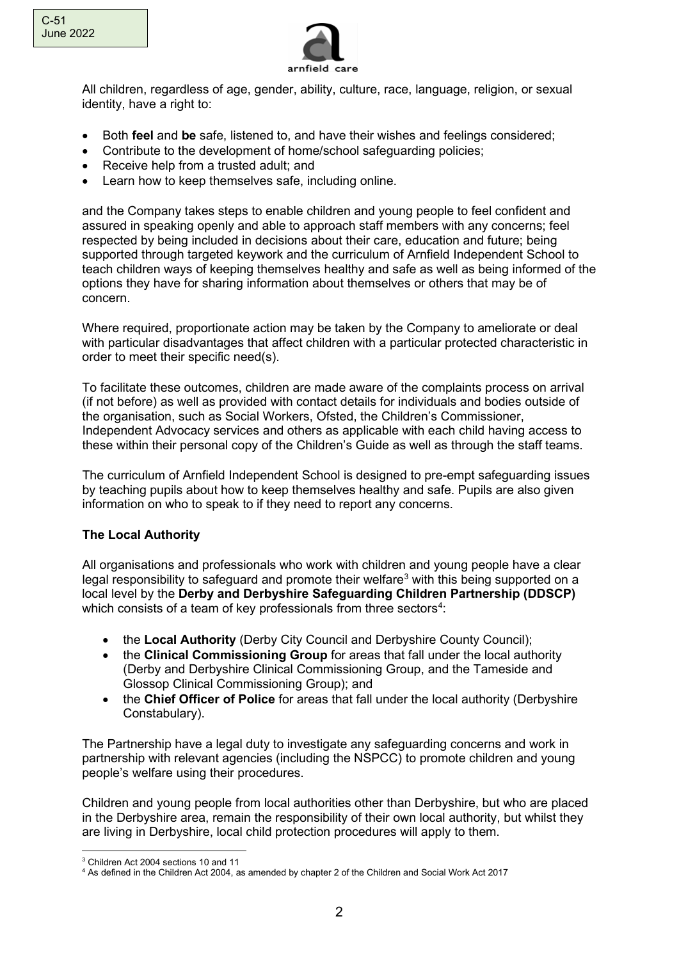

All children, regardless of age, gender, ability, culture, race, language, religion, or sexual identity, have a right to:

- Both **feel** and **be** safe, listened to, and have their wishes and feelings considered;
- Contribute to the development of home/school safeguarding policies;
- Receive help from a trusted adult; and
- Learn how to keep themselves safe, including online.

and the Company takes steps to enable children and young people to feel confident and assured in speaking openly and able to approach staff members with any concerns; feel respected by being included in decisions about their care, education and future; being supported through targeted keywork and the curriculum of Arnfield Independent School to teach children ways of keeping themselves healthy and safe as well as being informed of the options they have for sharing information about themselves or others that may be of concern.

Where required, proportionate action may be taken by the Company to ameliorate or deal with particular disadvantages that affect children with a particular protected characteristic in order to meet their specific need(s).

To facilitate these outcomes, children are made aware of the complaints process on arrival (if not before) as well as provided with contact details for individuals and bodies outside of the organisation, such as Social Workers, Ofsted, the Children's Commissioner, Independent Advocacy services and others as applicable with each child having access to these within their personal copy of the Children's Guide as well as through the staff teams.

The curriculum of Arnfield Independent School is designed to pre-empt safeguarding issues by teaching pupils about how to keep themselves healthy and safe. Pupils are also given information on who to speak to if they need to report any concerns.

### **The Local Authority**

All organisations and professionals who work with children and young people have a clear legal responsibility to safeguard and promote their welfare<sup>3</sup> with this being supported on a local level by the **Derby and Derbyshire Safeguarding Children Partnership (DDSCP)** which consists of a team of key professionals from three sectors<sup>[4](#page-1-1)</sup>:

- the **Local Authority** (Derby City Council and Derbyshire County Council);
- the **Clinical Commissioning Group** for areas that fall under the local authority (Derby and Derbyshire Clinical Commissioning Group, and the Tameside and Glossop Clinical Commissioning Group); and
- the **Chief Officer of Police** for areas that fall under the local authority (Derbyshire Constabulary).

The Partnership have a legal duty to investigate any safeguarding concerns and work in partnership with relevant agencies (including the NSPCC) to promote children and young people's welfare using their procedures.

Children and young people from local authorities other than Derbyshire, but who are placed in the Derbyshire area, remain the responsibility of their own local authority, but whilst they are living in Derbyshire, local child protection procedures will apply to them.

<span id="page-1-0"></span><sup>3</sup> Children Act 2004 sections 10 and 11

<span id="page-1-1"></span><sup>4</sup> As defined in the Children Act 2004, as amended by chapter 2 of the Children and Social Work Act 2017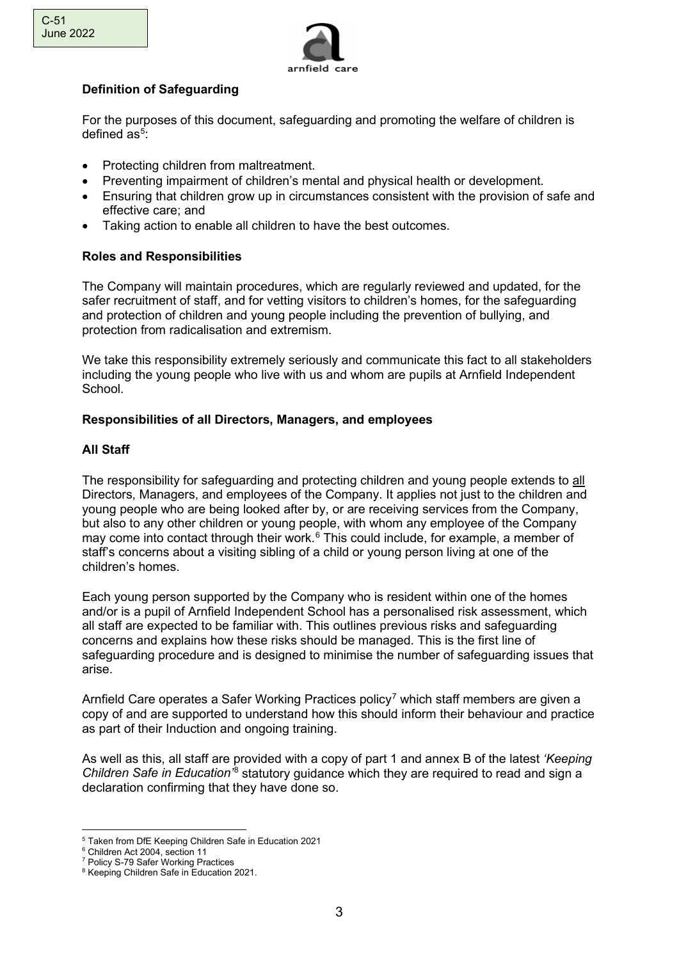

# **Definition of Safeguarding**

For the purposes of this document, safeguarding and promoting the welfare of children is defined as<sup>[5](#page-2-0)</sup>:

- Protecting children from maltreatment.
- Preventing impairment of children's mental and physical health or development.
- Ensuring that children grow up in circumstances consistent with the provision of safe and effective care; and
- Taking action to enable all children to have the best outcomes.

# **Roles and Responsibilities**

The Company will maintain procedures, which are regularly reviewed and updated, for the safer recruitment of staff, and for vetting visitors to children's homes, for the safeguarding and protection of children and young people including the prevention of bullying, and protection from radicalisation and extremism.

We take this responsibility extremely seriously and communicate this fact to all stakeholders including the young people who live with us and whom are pupils at Arnfield Independent School.

### **Responsibilities of all Directors, Managers, and employees**

### **All Staff**

The responsibility for safeguarding and protecting children and young people extends to all Directors, Managers, and employees of the Company. It applies not just to the children and young people who are being looked after by, or are receiving services from the Company, but also to any other children or young people, with whom any employee of the Company may come into contact through their work.<sup>[6](#page-2-1)</sup> This could include, for example, a member of staff's concerns about a visiting sibling of a child or young person living at one of the children's homes.

Each young person supported by the Company who is resident within one of the homes and/or is a pupil of Arnfield Independent School has a personalised risk assessment, which all staff are expected to be familiar with. This outlines previous risks and safeguarding concerns and explains how these risks should be managed. This is the first line of safeguarding procedure and is designed to minimise the number of safeguarding issues that arise.

Arnfield Care operates a Safer Working Practices policy<sup>[7](#page-2-2)</sup> which staff members are given a copy of and are supported to understand how this should inform their behaviour and practice as part of their Induction and ongoing training.

As well as this, all staff are provided with a copy of part 1 and annex B of the latest *'Keeping Children Safe in Education'*[8](#page-2-3) statutory guidance which they are required to read and sign a declaration confirming that they have done so.

<span id="page-2-0"></span><sup>5</sup> Taken from DfE Keeping Children Safe in Education 2021

<span id="page-2-1"></span><sup>6</sup> Children Act 2004, section 11

<span id="page-2-2"></span><sup>7</sup> Policy S-79 Safer Working Practices

<span id="page-2-3"></span><sup>8</sup> Keeping Children Safe in Education 2021.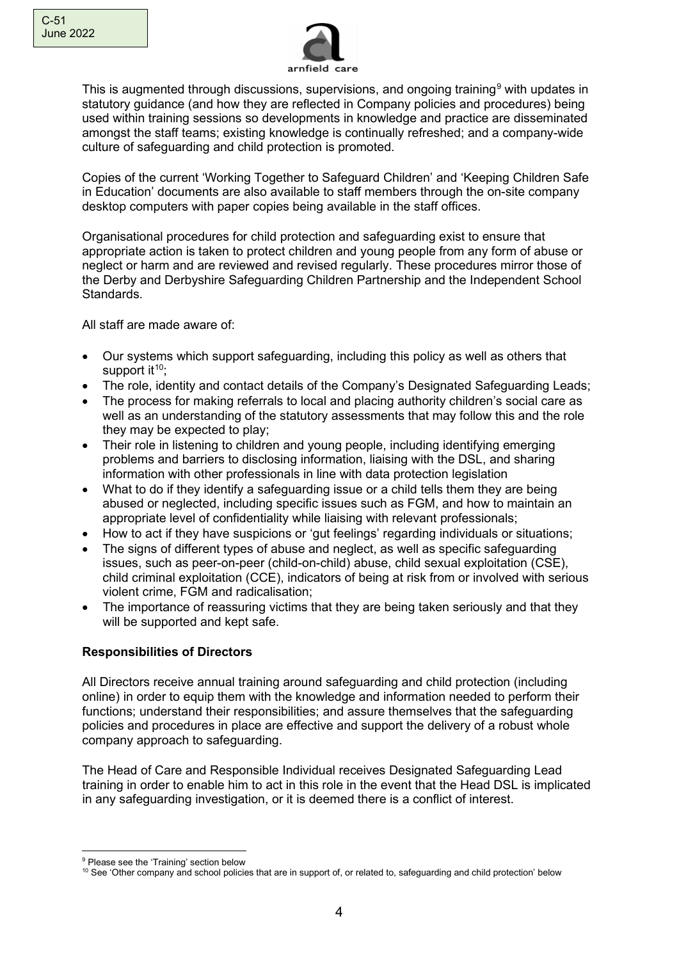

This is augmented through discussions, supervisions, and ongoing training<sup>[9](#page-3-0)</sup> with updates in statutory guidance (and how they are reflected in Company policies and procedures) being used within training sessions so developments in knowledge and practice are disseminated amongst the staff teams; existing knowledge is continually refreshed; and a company-wide culture of safeguarding and child protection is promoted.

Copies of the current 'Working Together to Safeguard Children' and 'Keeping Children Safe in Education' documents are also available to staff members through the on-site company desktop computers with paper copies being available in the staff offices.

Organisational procedures for child protection and safeguarding exist to ensure that appropriate action is taken to protect children and young people from any form of abuse or neglect or harm and are reviewed and revised regularly. These procedures mirror those of the Derby and Derbyshire Safeguarding Children Partnership and the Independent School Standards.

All staff are made aware of:

- Our systems which support safeguarding, including this policy as well as others that support  $it^{10}$  $it^{10}$  $it^{10}$ :
- The role, identity and contact details of the Company's Designated Safeguarding Leads;
- The process for making referrals to local and placing authority children's social care as well as an understanding of the statutory assessments that may follow this and the role they may be expected to play;
- Their role in listening to children and young people, including identifying emerging problems and barriers to disclosing information, liaising with the DSL, and sharing information with other professionals in line with data protection legislation
- What to do if they identify a safeguarding issue or a child tells them they are being abused or neglected, including specific issues such as FGM, and how to maintain an appropriate level of confidentiality while liaising with relevant professionals;
- How to act if they have suspicions or 'gut feelings' regarding individuals or situations;
- The signs of different types of abuse and neglect, as well as specific safeguarding issues, such as peer-on-peer (child-on-child) abuse, child sexual exploitation (CSE), child criminal exploitation (CCE), indicators of being at risk from or involved with serious violent crime, FGM and radicalisation;
- The importance of reassuring victims that they are being taken seriously and that they will be supported and kept safe.

# **Responsibilities of Directors**

All Directors receive annual training around safeguarding and child protection (including online) in order to equip them with the knowledge and information needed to perform their functions; understand their responsibilities; and assure themselves that the safeguarding policies and procedures in place are effective and support the delivery of a robust whole company approach to safeguarding.

The Head of Care and Responsible Individual receives Designated Safeguarding Lead training in order to enable him to act in this role in the event that the Head DSL is implicated in any safeguarding investigation, or it is deemed there is a conflict of interest.

<span id="page-3-0"></span><sup>&</sup>lt;sup>9</sup> Please see the 'Training' section below

<span id="page-3-1"></span><sup>&</sup>lt;sup>10</sup> See 'Other company and school policies that are in support of, or related to, safeguarding and child protection' below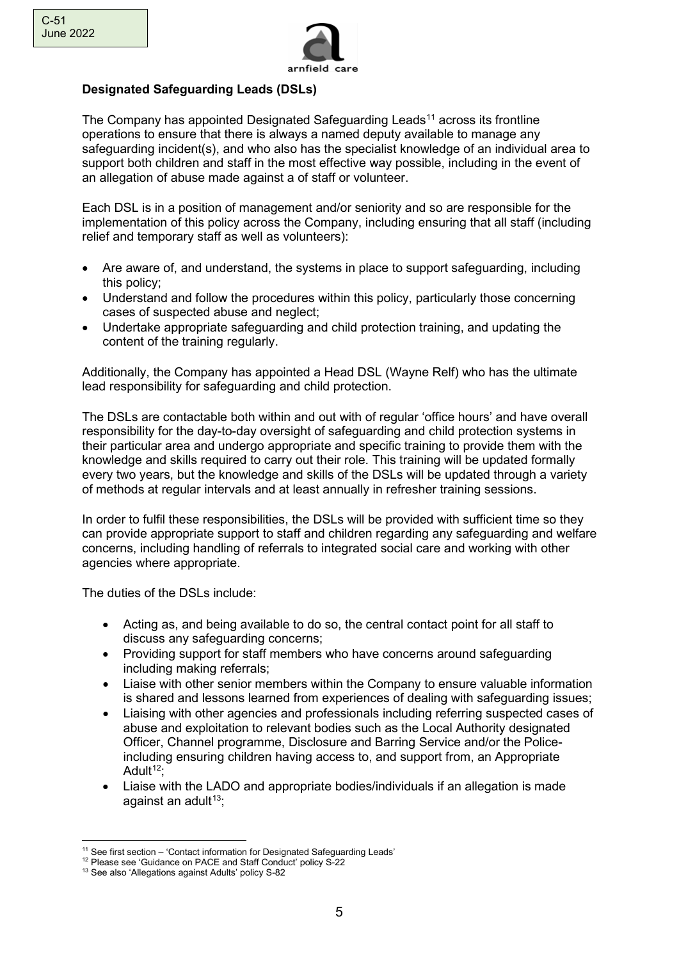

# **Designated Safeguarding Leads (DSLs)**

The Company has appointed Designated Safeguarding Leads<sup>[11](#page-4-0)</sup> across its frontline operations to ensure that there is always a named deputy available to manage any safeguarding incident(s), and who also has the specialist knowledge of an individual area to support both children and staff in the most effective way possible, including in the event of an allegation of abuse made against a of staff or volunteer.

Each DSL is in a position of management and/or seniority and so are responsible for the implementation of this policy across the Company, including ensuring that all staff (including relief and temporary staff as well as volunteers):

- Are aware of, and understand, the systems in place to support safeguarding, including this policy;
- Understand and follow the procedures within this policy, particularly those concerning cases of suspected abuse and neglect;
- Undertake appropriate safeguarding and child protection training, and updating the content of the training regularly.

Additionally, the Company has appointed a Head DSL (Wayne Relf) who has the ultimate lead responsibility for safeguarding and child protection.

The DSLs are contactable both within and out with of regular 'office hours' and have overall responsibility for the day-to-day oversight of safeguarding and child protection systems in their particular area and undergo appropriate and specific training to provide them with the knowledge and skills required to carry out their role. This training will be updated formally every two years, but the knowledge and skills of the DSLs will be updated through a variety of methods at regular intervals and at least annually in refresher training sessions.

In order to fulfil these responsibilities, the DSLs will be provided with sufficient time so they can provide appropriate support to staff and children regarding any safeguarding and welfare concerns, including handling of referrals to integrated social care and working with other agencies where appropriate.

The duties of the DSLs include:

- Acting as, and being available to do so, the central contact point for all staff to discuss any safeguarding concerns;
- Providing support for staff members who have concerns around safeguarding including making referrals;
- Liaise with other senior members within the Company to ensure valuable information is shared and lessons learned from experiences of dealing with safeguarding issues;
- Liaising with other agencies and professionals including referring suspected cases of abuse and exploitation to relevant bodies such as the Local Authority designated Officer, Channel programme, Disclosure and Barring Service and/or the Policeincluding ensuring children having access to, and support from, an Appropriate Adult $12$ :
- Liaise with the LADO and appropriate bodies/individuals if an allegation is made against an adult<sup>13</sup>;

<span id="page-4-0"></span><sup>&</sup>lt;sup>11</sup> See first section – 'Contact information for Designated Safeguarding Leads'

<span id="page-4-1"></span><sup>&</sup>lt;sup>12</sup> Please see 'Guidance on PACE and Staff Conduct' policy S-22

<span id="page-4-2"></span><sup>13</sup> See also 'Allegations against Adults' policy S-82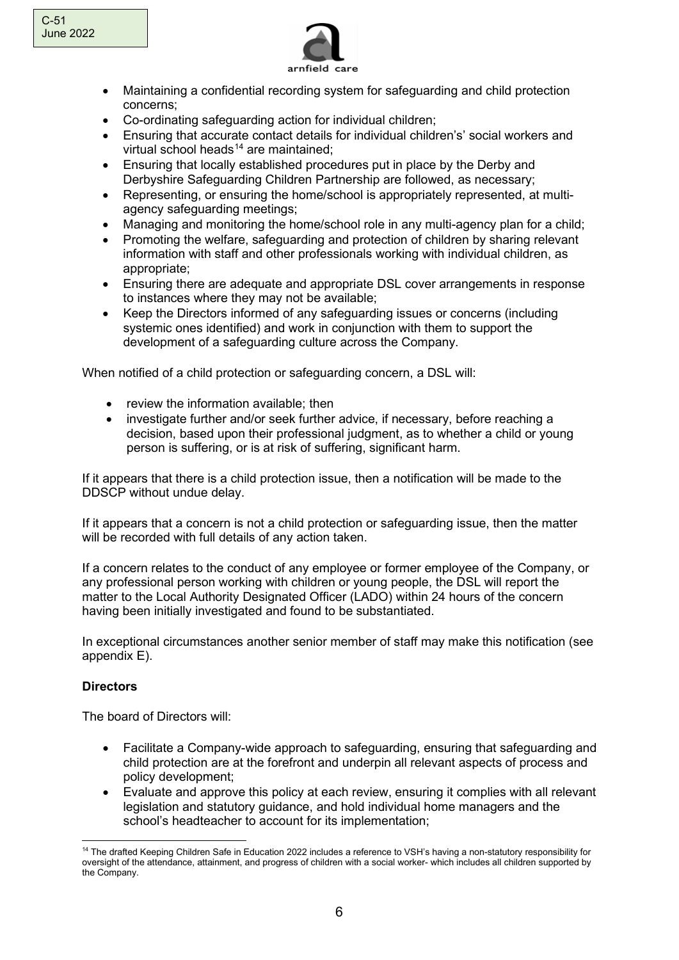

- Maintaining a confidential recording system for safeguarding and child protection concerns;
- Co-ordinating safeguarding action for individual children;
- Ensuring that accurate contact details for individual children's' social workers and virtual school heads $14$  are maintained;
- Ensuring that locally established procedures put in place by the Derby and Derbyshire Safeguarding Children Partnership are followed, as necessary;
- Representing, or ensuring the home/school is appropriately represented, at multiagency safeguarding meetings;
- Managing and monitoring the home/school role in any multi-agency plan for a child;
- Promoting the welfare, safeguarding and protection of children by sharing relevant information with staff and other professionals working with individual children, as appropriate;
- Ensuring there are adequate and appropriate DSL cover arrangements in response to instances where they may not be available;
- Keep the Directors informed of any safeguarding issues or concerns (including systemic ones identified) and work in conjunction with them to support the development of a safeguarding culture across the Company.

When notified of a child protection or safeguarding concern, a DSL will:

- review the information available; then
- investigate further and/or seek further advice, if necessary, before reaching a decision, based upon their professional judgment, as to whether a child or young person is suffering, or is at risk of suffering, significant harm.

If it appears that there is a child protection issue, then a notification will be made to the DDSCP without undue delay.

If it appears that a concern is not a child protection or safeguarding issue, then the matter will be recorded with full details of any action taken.

If a concern relates to the conduct of any employee or former employee of the Company, or any professional person working with children or young people, the DSL will report the matter to the Local Authority Designated Officer (LADO) within 24 hours of the concern having been initially investigated and found to be substantiated.

In exceptional circumstances another senior member of staff may make this notification (see appendix E).

# **Directors**

The board of Directors will:

- Facilitate a Company-wide approach to safeguarding, ensuring that safeguarding and child protection are at the forefront and underpin all relevant aspects of process and policy development;
- Evaluate and approve this policy at each review, ensuring it complies with all relevant legislation and statutory guidance, and hold individual home managers and the school's headteacher to account for its implementation;

<span id="page-5-0"></span><sup>&</sup>lt;sup>14</sup> The drafted Keeping Children Safe in Education 2022 includes a reference to VSH's having a non-statutory responsibility for oversight of the attendance, attainment, and progress of children with a social worker- which includes all children supported by the Company.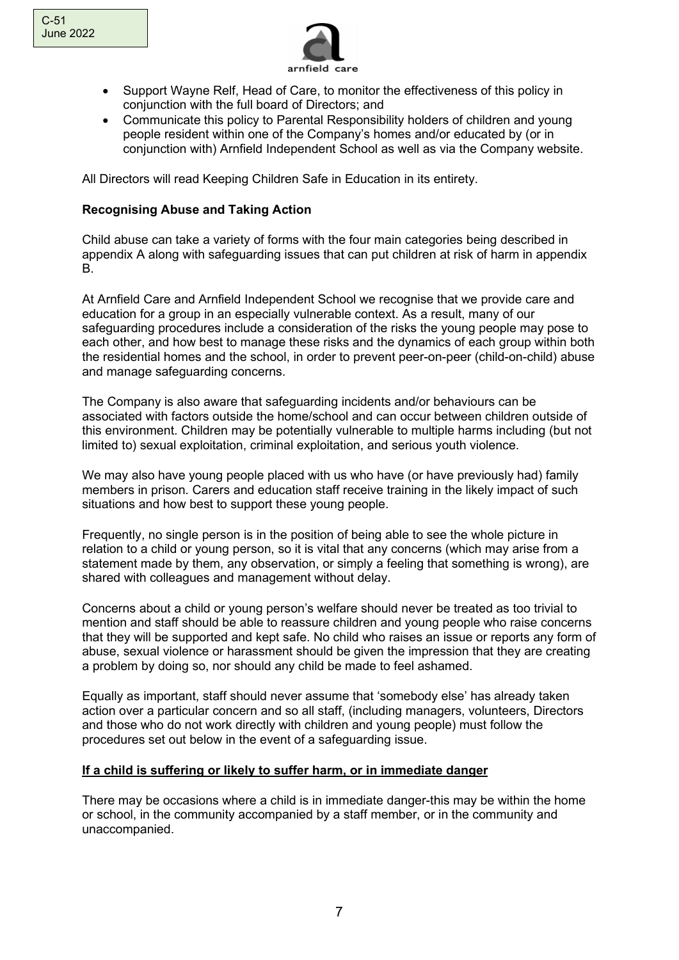

- Support Wayne Relf, Head of Care, to monitor the effectiveness of this policy in conjunction with the full board of Directors; and
- Communicate this policy to Parental Responsibility holders of children and young people resident within one of the Company's homes and/or educated by (or in conjunction with) Arnfield Independent School as well as via the Company website.

All Directors will read Keeping Children Safe in Education in its entirety.

### **Recognising Abuse and Taking Action**

Child abuse can take a variety of forms with the four main categories being described in appendix A along with safeguarding issues that can put children at risk of harm in appendix B.

At Arnfield Care and Arnfield Independent School we recognise that we provide care and education for a group in an especially vulnerable context. As a result, many of our safeguarding procedures include a consideration of the risks the young people may pose to each other, and how best to manage these risks and the dynamics of each group within both the residential homes and the school, in order to prevent peer-on-peer (child-on-child) abuse and manage safeguarding concerns.

The Company is also aware that safeguarding incidents and/or behaviours can be associated with factors outside the home/school and can occur between children outside of this environment. Children may be potentially vulnerable to multiple harms including (but not limited to) sexual exploitation, criminal exploitation, and serious youth violence.

We may also have young people placed with us who have (or have previously had) family members in prison. Carers and education staff receive training in the likely impact of such situations and how best to support these young people.

Frequently, no single person is in the position of being able to see the whole picture in relation to a child or young person, so it is vital that any concerns (which may arise from a statement made by them, any observation, or simply a feeling that something is wrong), are shared with colleagues and management without delay.

Concerns about a child or young person's welfare should never be treated as too trivial to mention and staff should be able to reassure children and young people who raise concerns that they will be supported and kept safe. No child who raises an issue or reports any form of abuse, sexual violence or harassment should be given the impression that they are creating a problem by doing so, nor should any child be made to feel ashamed.

Equally as important, staff should never assume that 'somebody else' has already taken action over a particular concern and so all staff, (including managers, volunteers, Directors and those who do not work directly with children and young people) must follow the procedures set out below in the event of a safeguarding issue.

### **If a child is suffering or likely to suffer harm, or in immediate danger**

There may be occasions where a child is in immediate danger-this may be within the home or school, in the community accompanied by a staff member, or in the community and unaccompanied.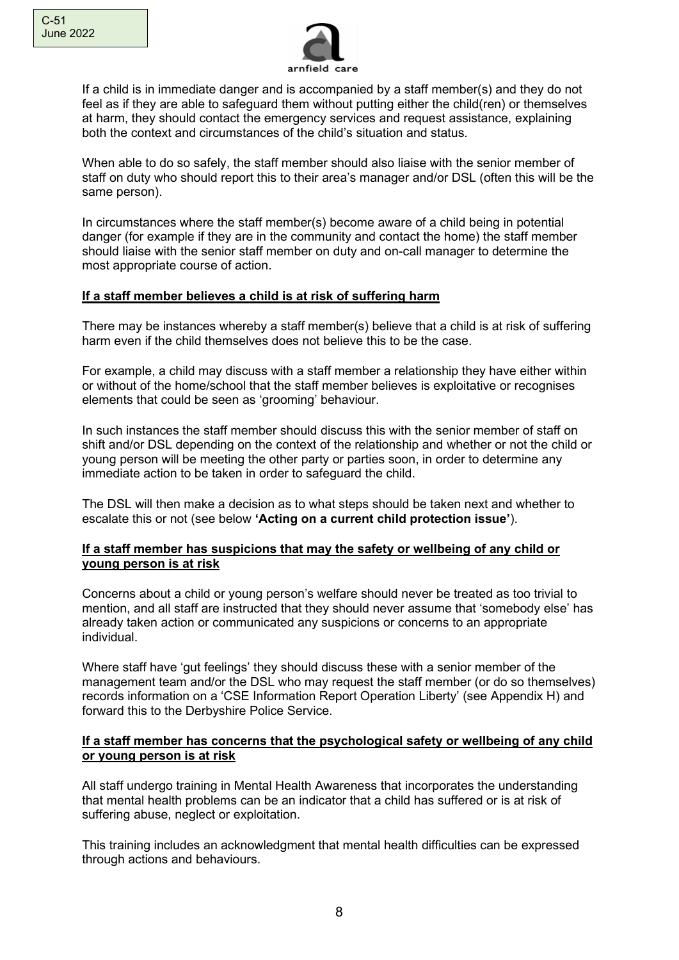

If a child is in immediate danger and is accompanied by a staff member(s) and they do not feel as if they are able to safeguard them without putting either the child(ren) or themselves at harm, they should contact the emergency services and request assistance, explaining both the context and circumstances of the child's situation and status.

When able to do so safely, the staff member should also liaise with the senior member of staff on duty who should report this to their area's manager and/or DSL (often this will be the same person).

In circumstances where the staff member(s) become aware of a child being in potential danger (for example if they are in the community and contact the home) the staff member should liaise with the senior staff member on duty and on-call manager to determine the most appropriate course of action.

### **If a staff member believes a child is at risk of suffering harm**

There may be instances whereby a staff member(s) believe that a child is at risk of suffering harm even if the child themselves does not believe this to be the case.

For example, a child may discuss with a staff member a relationship they have either within or without of the home/school that the staff member believes is exploitative or recognises elements that could be seen as 'grooming' behaviour.

In such instances the staff member should discuss this with the senior member of staff on shift and/or DSL depending on the context of the relationship and whether or not the child or young person will be meeting the other party or parties soon, in order to determine any immediate action to be taken in order to safeguard the child.

The DSL will then make a decision as to what steps should be taken next and whether to escalate this or not (see below **'Acting on a current child protection issue'**).

### **If a staff member has suspicions that may the safety or wellbeing of any child or young person is at risk**

Concerns about a child or young person's welfare should never be treated as too trivial to mention, and all staff are instructed that they should never assume that 'somebody else' has already taken action or communicated any suspicions or concerns to an appropriate individual.

Where staff have 'gut feelings' they should discuss these with a senior member of the management team and/or the DSL who may request the staff member (or do so themselves) records information on a 'CSE Information Report Operation Liberty' (see Appendix H) and forward this to the Derbyshire Police Service.

#### **If a staff member has concerns that the psychological safety or wellbeing of any child or young person is at risk**

All staff undergo training in Mental Health Awareness that incorporates the understanding that mental health problems can be an indicator that a child has suffered or is at risk of suffering abuse, neglect or exploitation.

This training includes an acknowledgment that mental health difficulties can be expressed through actions and behaviours.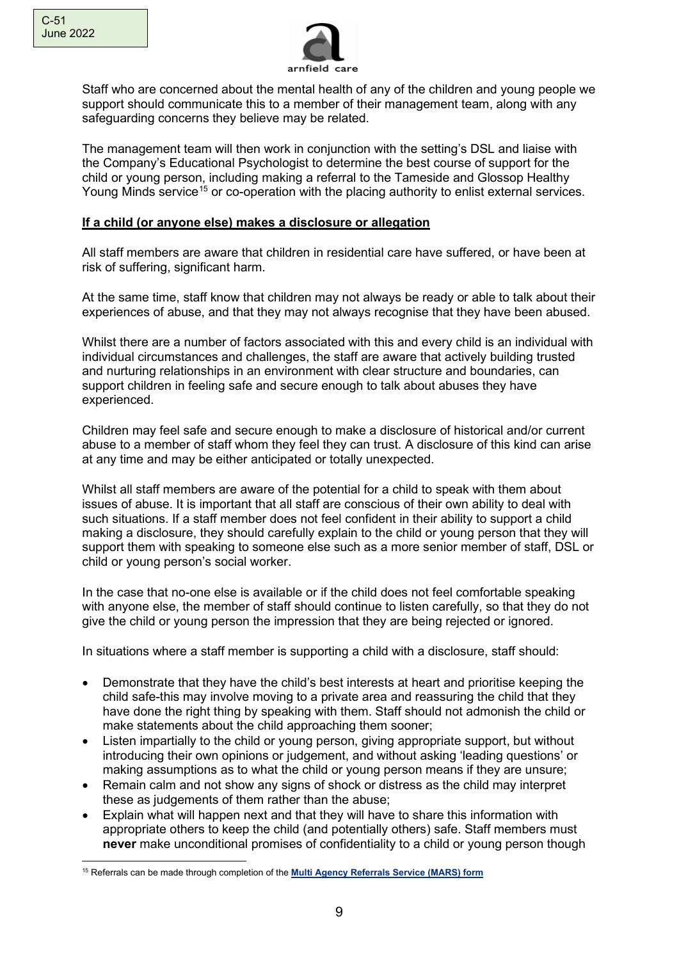

Staff who are concerned about the mental health of any of the children and young people we support should communicate this to a member of their management team, along with any safeguarding concerns they believe may be related.

The management team will then work in conjunction with the setting's DSL and liaise with the Company's Educational Psychologist to determine the best course of support for the child or young person, including making a referral to the Tameside and Glossop Healthy Young Minds service<sup>[15](#page-8-0)</sup> or co-operation with the placing authority to enlist external services.

### **If a child (or anyone else) makes a disclosure or allegation**

All staff members are aware that children in residential care have suffered, or have been at risk of suffering, significant harm.

At the same time, staff know that children may not always be ready or able to talk about their experiences of abuse, and that they may not always recognise that they have been abused.

Whilst there are a number of factors associated with this and every child is an individual with individual circumstances and challenges, the staff are aware that actively building trusted and nurturing relationships in an environment with clear structure and boundaries, can support children in feeling safe and secure enough to talk about abuses they have experienced.

Children may feel safe and secure enough to make a disclosure of historical and/or current abuse to a member of staff whom they feel they can trust. A disclosure of this kind can arise at any time and may be either anticipated or totally unexpected.

Whilst all staff members are aware of the potential for a child to speak with them about issues of abuse. It is important that all staff are conscious of their own ability to deal with such situations. If a staff member does not feel confident in their ability to support a child making a disclosure, they should carefully explain to the child or young person that they will support them with speaking to someone else such as a more senior member of staff, DSL or child or young person's social worker.

In the case that no-one else is available or if the child does not feel comfortable speaking with anyone else, the member of staff should continue to listen carefully, so that they do not give the child or young person the impression that they are being rejected or ignored.

In situations where a staff member is supporting a child with a disclosure, staff should:

- Demonstrate that they have the child's best interests at heart and prioritise keeping the child safe-this may involve moving to a private area and reassuring the child that they have done the right thing by speaking with them. Staff should not admonish the child or make statements about the child approaching them sooner;
- Listen impartially to the child or young person, giving appropriate support, but without introducing their own opinions or judgement, and without asking 'leading questions' or making assumptions as to what the child or young person means if they are unsure;
- Remain calm and not show any signs of shock or distress as the child may interpret these as judgements of them rather than the abuse;
- Explain what will happen next and that they will have to share this information with appropriate others to keep the child (and potentially others) safe. Staff members must **never** make unconditional promises of confidentiality to a child or young person though

<span id="page-8-0"></span><sup>15</sup> Referrals can be made through completion of the **[Multi Agency Referrals Service \(MARS\) form](https://secure.tameside.gov.uk/forms/mars/f1312mars.asp)**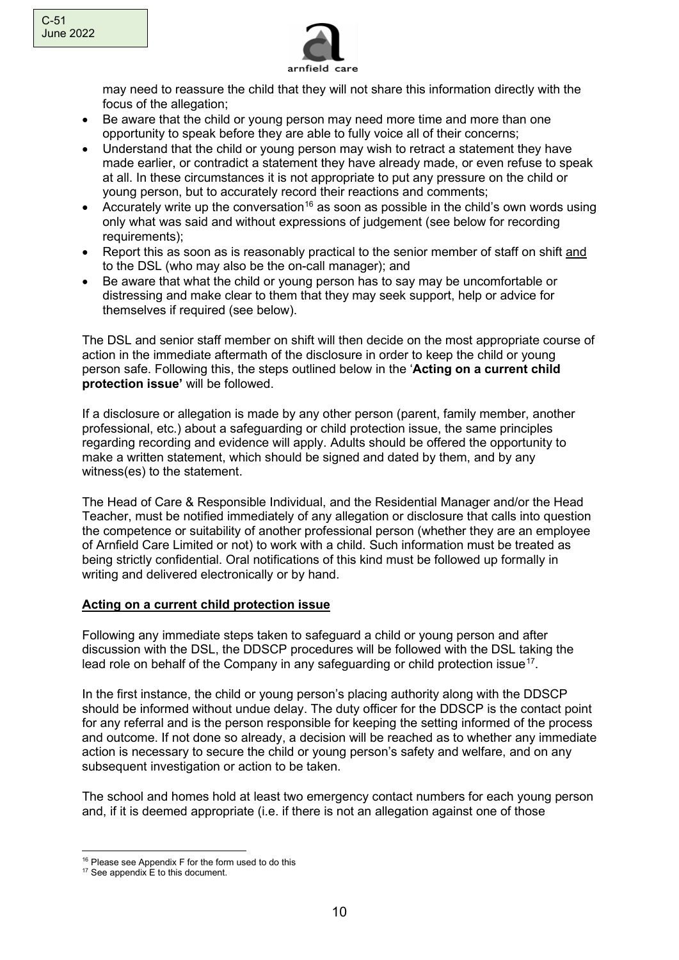

may need to reassure the child that they will not share this information directly with the focus of the allegation;

- Be aware that the child or young person may need more time and more than one opportunity to speak before they are able to fully voice all of their concerns;
- Understand that the child or young person may wish to retract a statement they have made earlier, or contradict a statement they have already made, or even refuse to speak at all. In these circumstances it is not appropriate to put any pressure on the child or young person, but to accurately record their reactions and comments;
- Accurately write up the conversation<sup>[16](#page-9-0)</sup> as soon as possible in the child's own words using only what was said and without expressions of judgement (see below for recording requirements):
- Report this as soon as is reasonably practical to the senior member of staff on shift and to the DSL (who may also be the on-call manager); and
- Be aware that what the child or young person has to say may be uncomfortable or distressing and make clear to them that they may seek support, help or advice for themselves if required (see below).

The DSL and senior staff member on shift will then decide on the most appropriate course of action in the immediate aftermath of the disclosure in order to keep the child or young person safe. Following this, the steps outlined below in the '**Acting on a current child protection issue'** will be followed.

If a disclosure or allegation is made by any other person (parent, family member, another professional, etc.) about a safeguarding or child protection issue, the same principles regarding recording and evidence will apply. Adults should be offered the opportunity to make a written statement, which should be signed and dated by them, and by any witness(es) to the statement.

The Head of Care & Responsible Individual, and the Residential Manager and/or the Head Teacher, must be notified immediately of any allegation or disclosure that calls into question the competence or suitability of another professional person (whether they are an employee of Arnfield Care Limited or not) to work with a child. Such information must be treated as being strictly confidential. Oral notifications of this kind must be followed up formally in writing and delivered electronically or by hand.

# **Acting on a current child protection issue**

Following any immediate steps taken to safeguard a child or young person and after discussion with the DSL, the DDSCP procedures will be followed with the DSL taking the lead role on behalf of the Company in any safeguarding or child protection issue<sup>[17](#page-9-1)</sup>.

In the first instance, the child or young person's placing authority along with the DDSCP should be informed without undue delay. The duty officer for the DDSCP is the contact point for any referral and is the person responsible for keeping the setting informed of the process and outcome. If not done so already, a decision will be reached as to whether any immediate action is necessary to secure the child or young person's safety and welfare, and on any subsequent investigation or action to be taken.

The school and homes hold at least two emergency contact numbers for each young person and, if it is deemed appropriate (i.e. if there is not an allegation against one of those

<sup>&</sup>lt;sup>16</sup> Please see Appendix F for the form used to do this

<span id="page-9-1"></span><span id="page-9-0"></span><sup>&</sup>lt;sup>17</sup> See appendix E to this document.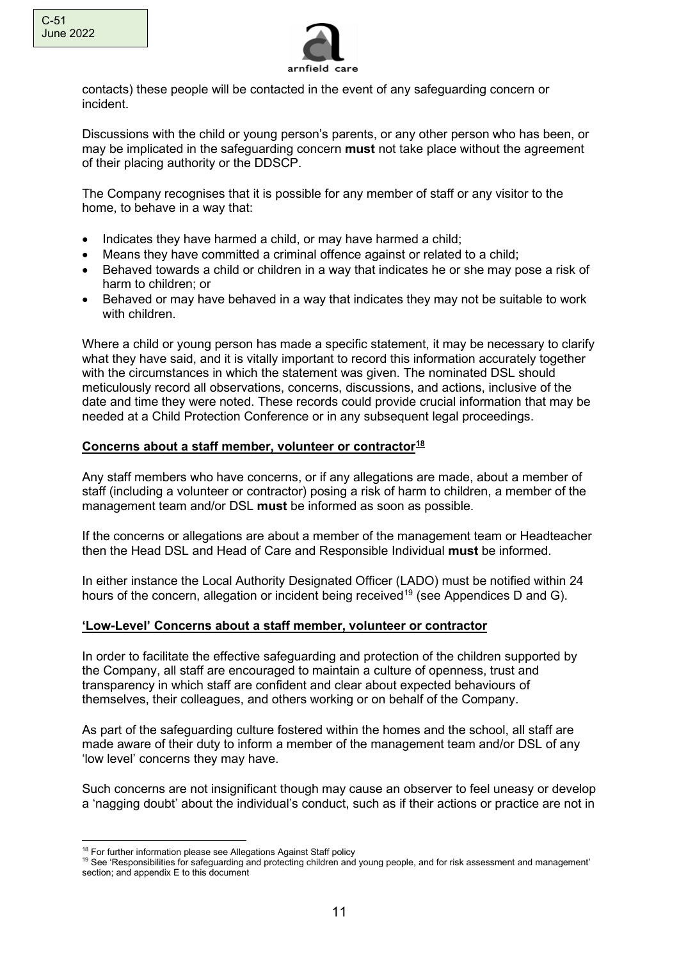

contacts) these people will be contacted in the event of any safeguarding concern or incident.

Discussions with the child or young person's parents, or any other person who has been, or may be implicated in the safeguarding concern **must** not take place without the agreement of their placing authority or the DDSCP.

The Company recognises that it is possible for any member of staff or any visitor to the home, to behave in a way that:

- Indicates they have harmed a child, or may have harmed a child;
- Means they have committed a criminal offence against or related to a child;
- Behaved towards a child or children in a way that indicates he or she may pose a risk of harm to children; or
- Behaved or may have behaved in a way that indicates they may not be suitable to work with children.

Where a child or young person has made a specific statement, it may be necessary to clarify what they have said, and it is vitally important to record this information accurately together with the circumstances in which the statement was given. The nominated DSL should meticulously record all observations, concerns, discussions, and actions, inclusive of the date and time they were noted. These records could provide crucial information that may be needed at a Child Protection Conference or in any subsequent legal proceedings.

#### **Concerns about a staff member, volunteer or contractor[18](#page-10-0)**

Any staff members who have concerns, or if any allegations are made, about a member of staff (including a volunteer or contractor) posing a risk of harm to children, a member of the management team and/or DSL **must** be informed as soon as possible.

If the concerns or allegations are about a member of the management team or Headteacher then the Head DSL and Head of Care and Responsible Individual **must** be informed.

In either instance the Local Authority Designated Officer (LADO) must be notified within 24 hours of the concern, allegation or incident being received<sup>19</sup> (see Appendices D and G).

#### **'Low-Level' Concerns about a staff member, volunteer or contractor**

In order to facilitate the effective safeguarding and protection of the children supported by the Company, all staff are encouraged to maintain a culture of openness, trust and transparency in which staff are confident and clear about expected behaviours of themselves, their colleagues, and others working or on behalf of the Company.

As part of the safeguarding culture fostered within the homes and the school, all staff are made aware of their duty to inform a member of the management team and/or DSL of any 'low level' concerns they may have.

Such concerns are not insignificant though may cause an observer to feel uneasy or develop a 'nagging doubt' about the individual's conduct, such as if their actions or practice are not in

<sup>&</sup>lt;sup>18</sup> For further information please see Allegations Against Staff policy

<span id="page-10-1"></span><span id="page-10-0"></span><sup>&</sup>lt;sup>19</sup> See 'Responsibilities for safeguarding and protecting children and young people, and for risk assessment and management' section; and appendix E to this document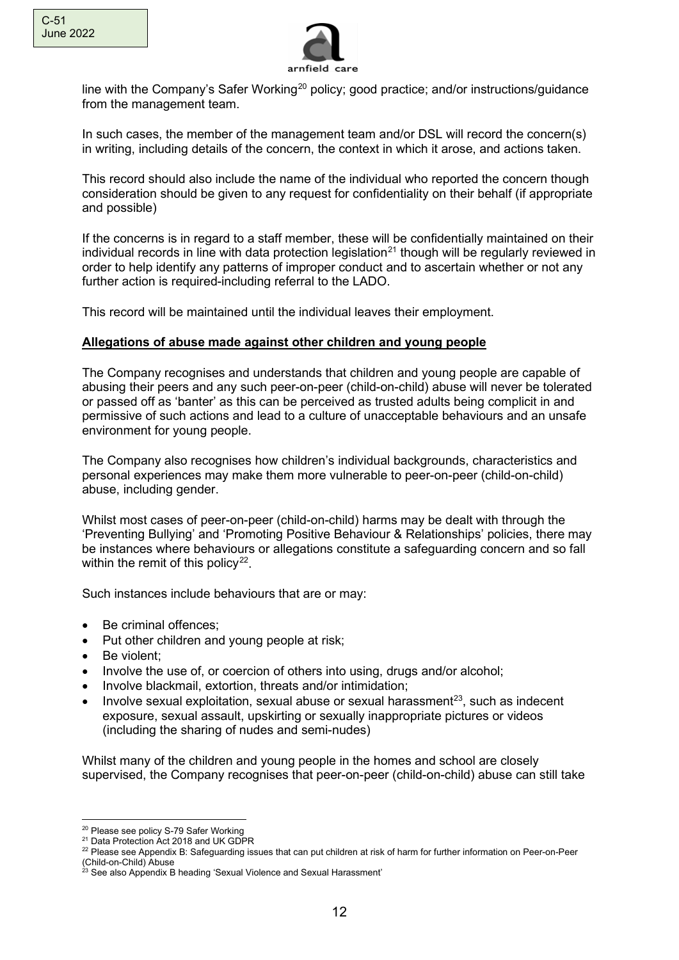

line with the Company's Safer Working<sup>20</sup> policy; good practice; and/or instructions/guidance from the management team.

In such cases, the member of the management team and/or DSL will record the concern(s) in writing, including details of the concern, the context in which it arose, and actions taken.

This record should also include the name of the individual who reported the concern though consideration should be given to any request for confidentiality on their behalf (if appropriate and possible)

If the concerns is in regard to a staff member, these will be confidentially maintained on their individual records in line with data protection legislation<sup>[21](#page-11-1)</sup> though will be regularly reviewed in order to help identify any patterns of improper conduct and to ascertain whether or not any further action is required-including referral to the LADO.

This record will be maintained until the individual leaves their employment.

### **Allegations of abuse made against other children and young people**

The Company recognises and understands that children and young people are capable of abusing their peers and any such peer-on-peer (child-on-child) abuse will never be tolerated or passed off as 'banter' as this can be perceived as trusted adults being complicit in and permissive of such actions and lead to a culture of unacceptable behaviours and an unsafe environment for young people.

The Company also recognises how children's individual backgrounds, characteristics and personal experiences may make them more vulnerable to peer-on-peer (child-on-child) abuse, including gender.

Whilst most cases of peer-on-peer (child-on-child) harms may be dealt with through the 'Preventing Bullying' and 'Promoting Positive Behaviour & Relationships' policies, there may be instances where behaviours or allegations constitute a safeguarding concern and so fall within the remit of this policy<sup>22</sup>.

Such instances include behaviours that are or may:

- Be criminal offences;
- Put other children and young people at risk;
- Be violent:
- Involve the use of, or coercion of others into using, drugs and/or alcohol;
- Involve blackmail, extortion, threats and/or intimidation;
- Involve sexual exploitation, sexual abuse or sexual harassment $^{23}$ , such as indecent exposure, sexual assault, upskirting or sexually inappropriate pictures or videos (including the sharing of nudes and semi-nudes)

Whilst many of the children and young people in the homes and school are closely supervised, the Company recognises that peer-on-peer (child-on-child) abuse can still take

<span id="page-11-0"></span> $^{20}$  Please see policy S-79 Safer Working<br> $^{21}$  Data Protection Act 2018 and UK GDPR

<span id="page-11-2"></span><span id="page-11-1"></span><sup>&</sup>lt;sup>22</sup> Please see Appendix B: Safeguarding issues that can put children at risk of harm for further information on Peer-on-Peer (Child-on-Child) Abuse

<span id="page-11-3"></span> $^{23}$  See also Appendix B heading 'Sexual Violence and Sexual Harassment'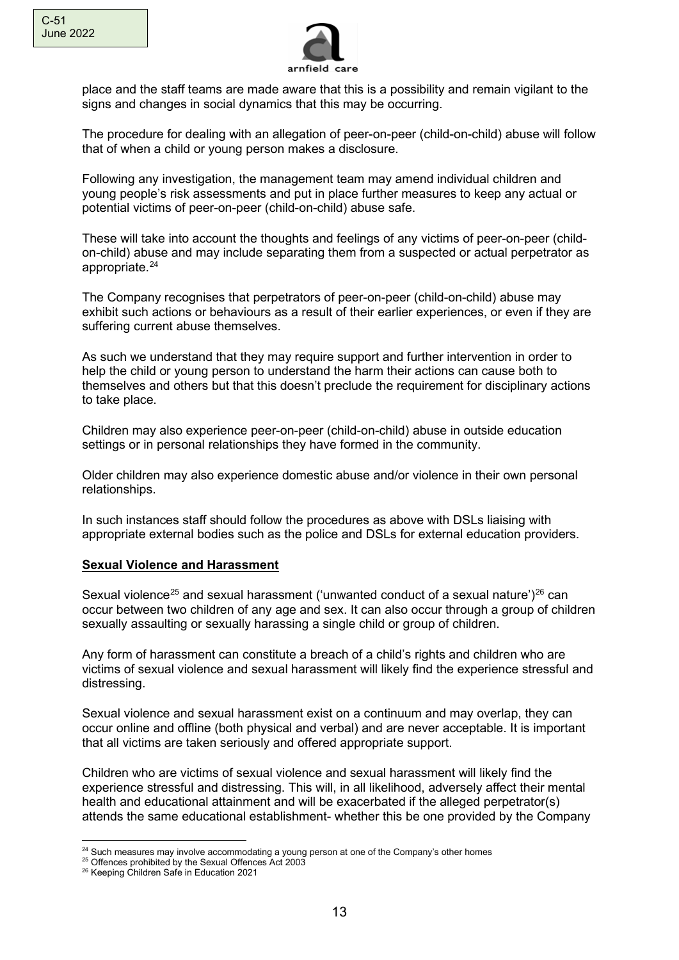

place and the staff teams are made aware that this is a possibility and remain vigilant to the signs and changes in social dynamics that this may be occurring.

The procedure for dealing with an allegation of peer-on-peer (child-on-child) abuse will follow that of when a child or young person makes a disclosure.

Following any investigation, the management team may amend individual children and young people's risk assessments and put in place further measures to keep any actual or potential victims of peer-on-peer (child-on-child) abuse safe.

These will take into account the thoughts and feelings of any victims of peer-on-peer (childon-child) abuse and may include separating them from a suspected or actual perpetrator as appropriate.<sup>[24](#page-12-0)</sup>

The Company recognises that perpetrators of peer-on-peer (child-on-child) abuse may exhibit such actions or behaviours as a result of their earlier experiences, or even if they are suffering current abuse themselves.

As such we understand that they may require support and further intervention in order to help the child or young person to understand the harm their actions can cause both to themselves and others but that this doesn't preclude the requirement for disciplinary actions to take place.

Children may also experience peer-on-peer (child-on-child) abuse in outside education settings or in personal relationships they have formed in the community.

Older children may also experience domestic abuse and/or violence in their own personal relationships.

In such instances staff should follow the procedures as above with DSLs liaising with appropriate external bodies such as the police and DSLs for external education providers.

### **Sexual Violence and Harassment**

Sexual violence<sup>[25](#page-12-1)</sup> and sexual harassment ('unwanted conduct of a sexual nature')<sup>[26](#page-12-2)</sup> can occur between two children of any age and sex. It can also occur through a group of children sexually assaulting or sexually harassing a single child or group of children.

Any form of harassment can constitute a breach of a child's rights and children who are victims of sexual violence and sexual harassment will likely find the experience stressful and distressing.

Sexual violence and sexual harassment exist on a continuum and may overlap, they can occur online and offline (both physical and verbal) and are never acceptable. It is important that all victims are taken seriously and offered appropriate support.

Children who are victims of sexual violence and sexual harassment will likely find the experience stressful and distressing. This will, in all likelihood, adversely affect their mental health and educational attainment and will be exacerbated if the alleged perpetrator(s) attends the same educational establishment- whether this be one provided by the Company

<span id="page-12-0"></span> $24$  Such measures may involve accommodating a young person at one of the Company's other homes  $25$  Offences prohibited by the Sexual Offences Act 2003

<span id="page-12-2"></span><span id="page-12-1"></span><sup>&</sup>lt;sup>26</sup> Keeping Children Safe in Education 2021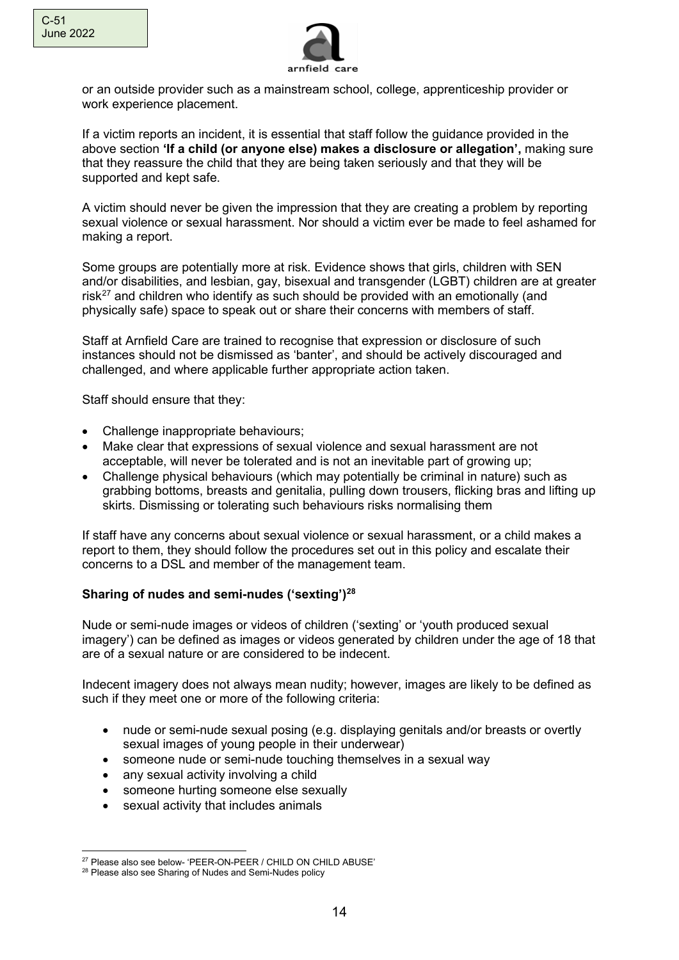

or an outside provider such as a mainstream school, college, apprenticeship provider or work experience placement.

If a victim reports an incident, it is essential that staff follow the guidance provided in the above section **'If a child (or anyone else) makes a disclosure or allegation',** making sure that they reassure the child that they are being taken seriously and that they will be supported and kept safe.

A victim should never be given the impression that they are creating a problem by reporting sexual violence or sexual harassment. Nor should a victim ever be made to feel ashamed for making a report.

Some groups are potentially more at risk. Evidence shows that girls, children with SEN and/or disabilities, and lesbian, gay, bisexual and transgender (LGBT) children are at greater risk $^{27}$  $^{27}$  $^{27}$  and children who identify as such should be provided with an emotionally (and physically safe) space to speak out or share their concerns with members of staff.

Staff at Arnfield Care are trained to recognise that expression or disclosure of such instances should not be dismissed as 'banter', and should be actively discouraged and challenged, and where applicable further appropriate action taken.

Staff should ensure that they:

- Challenge inappropriate behaviours:
- Make clear that expressions of sexual violence and sexual harassment are not acceptable, will never be tolerated and is not an inevitable part of growing up;
- Challenge physical behaviours (which may potentially be criminal in nature) such as grabbing bottoms, breasts and genitalia, pulling down trousers, flicking bras and lifting up skirts. Dismissing or tolerating such behaviours risks normalising them

If staff have any concerns about sexual violence or sexual harassment, or a child makes a report to them, they should follow the procedures set out in this policy and escalate their concerns to a DSL and member of the management team.

# **Sharing of nudes and semi-nudes ('sexting')[28](#page-13-1)**

Nude or semi-nude images or videos of children ('sexting' or 'youth produced sexual imagery') can be defined as images or videos generated by children under the age of 18 that are of a sexual nature or are considered to be indecent.

Indecent imagery does not always mean nudity; however, images are likely to be defined as such if they meet one or more of the following criteria:

- nude or semi-nude sexual posing (e.g. displaying genitals and/or breasts or overtly sexual images of young people in their underwear)
- someone nude or semi-nude touching themselves in a sexual way
- any sexual activity involving a child
- someone hurting someone else sexually
- sexual activity that includes animals

<span id="page-13-0"></span><sup>27</sup> Please also see below- 'PEER-ON-PEER / CHILD ON CHILD ABUSE'

<span id="page-13-1"></span><sup>28</sup> Please also see Sharing of Nudes and Semi-Nudes policy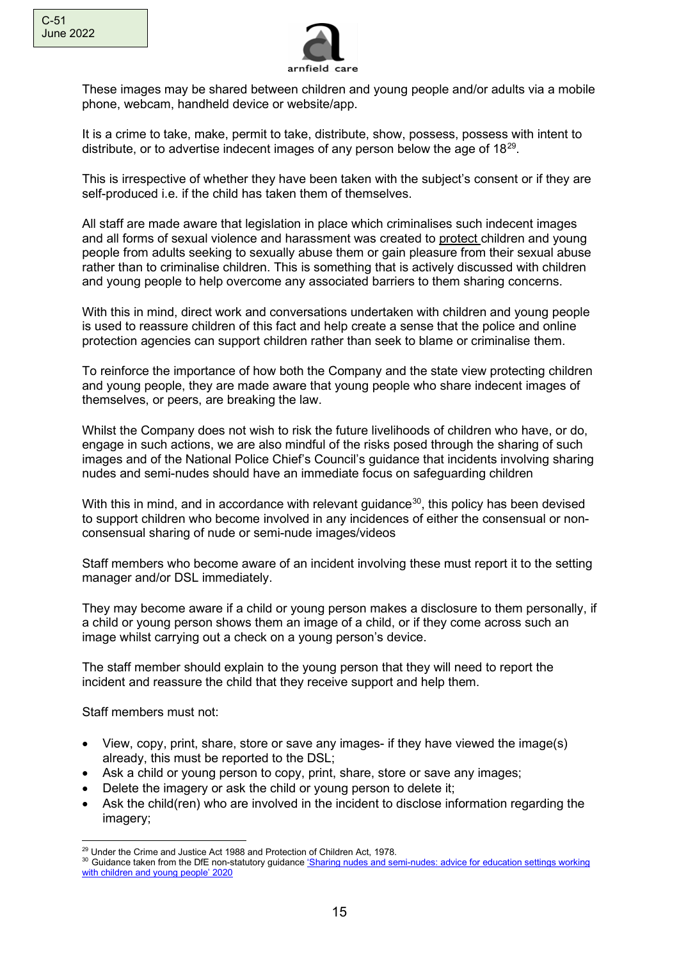

These images may be shared between children and young people and/or adults via a mobile phone, webcam, handheld device or website/app.

It is a crime to take, make, permit to take, distribute, show, possess, possess with intent to distribute, or to advertise indecent images of any person below the age of  $18^{29}$ .

This is irrespective of whether they have been taken with the subject's consent or if they are self-produced i.e. if the child has taken them of themselves.

All staff are made aware that legislation in place which criminalises such indecent images and all forms of sexual violence and harassment was created to protect children and young people from adults seeking to sexually abuse them or gain pleasure from their sexual abuse rather than to criminalise children. This is something that is actively discussed with children and young people to help overcome any associated barriers to them sharing concerns.

With this in mind, direct work and conversations undertaken with children and young people is used to reassure children of this fact and help create a sense that the police and online protection agencies can support children rather than seek to blame or criminalise them.

To reinforce the importance of how both the Company and the state view protecting children and young people, they are made aware that young people who share indecent images of themselves, or peers, are breaking the law.

Whilst the Company does not wish to risk the future livelihoods of children who have, or do, engage in such actions, we are also mindful of the risks posed through the sharing of such images and of the National Police Chief's Council's guidance that incidents involving sharing nudes and semi-nudes should have an immediate focus on safeguarding children

With this in mind, and in accordance with relevant guidance<sup>[30](#page-14-1)</sup>, this policy has been devised to support children who become involved in any incidences of either the consensual or nonconsensual sharing of nude or semi-nude images/videos

Staff members who become aware of an incident involving these must report it to the setting manager and/or DSL immediately.

They may become aware if a child or young person makes a disclosure to them personally, if a child or young person shows them an image of a child, or if they come across such an image whilst carrying out a check on a young person's device.

The staff member should explain to the young person that they will need to report the incident and reassure the child that they receive support and help them.

Staff members must not:

- View, copy, print, share, store or save any images- if they have viewed the image(s) already, this must be reported to the DSL;
- Ask a child or young person to copy, print, share, store or save any images;
- Delete the imagery or ask the child or young person to delete it;
- Ask the child(ren) who are involved in the incident to disclose information regarding the imagery;

<span id="page-14-0"></span><sup>&</sup>lt;sup>29</sup> Under the Crime and Justice Act 1988 and Protection of Children Act, 1978.

<span id="page-14-1"></span><sup>&</sup>lt;sup>30</sup> Guidance taken from the DfE non-statutory guidance 'Sharing nudes and semi-nudes: advice for education settings working with [children and young people' 2020](https://www.gov.uk/government/publications/sharing-nudes-and-semi-nudes-advice-for-education-settings-working-with-children-and-young-people/sharing-nudes-and-semi-nudes-advice-for-education-settings-working-with-children-and-young-people#annexb)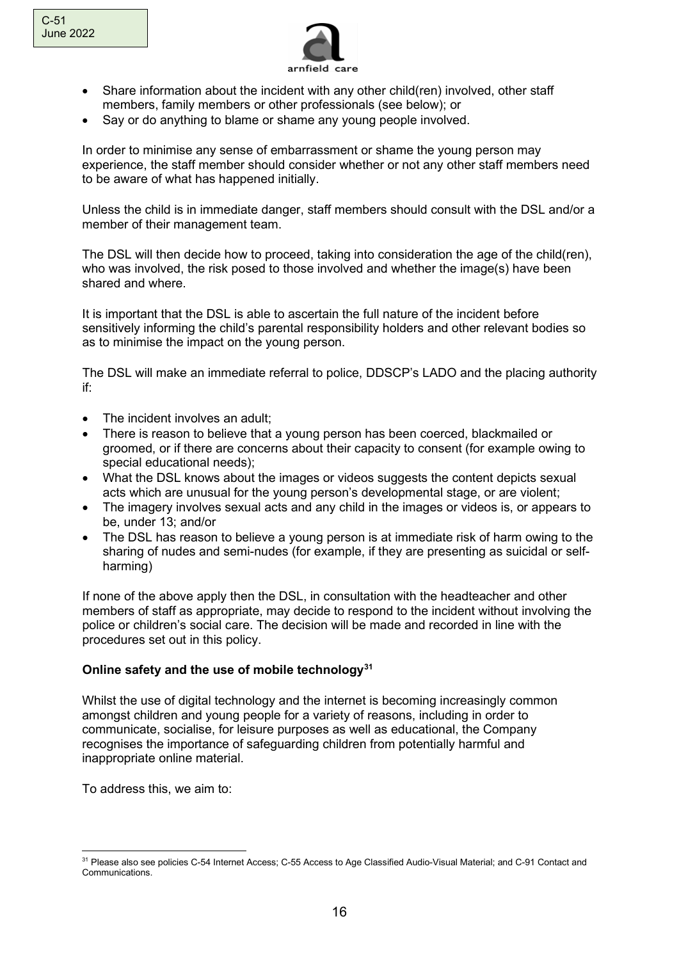

- Share information about the incident with any other child(ren) involved, other staff members, family members or other professionals (see below); or
- Say or do anything to blame or shame any young people involved.

In order to minimise any sense of embarrassment or shame the young person may experience, the staff member should consider whether or not any other staff members need to be aware of what has happened initially.

Unless the child is in immediate danger, staff members should consult with the DSL and/or a member of their management team.

The DSL will then decide how to proceed, taking into consideration the age of the child(ren), who was involved, the risk posed to those involved and whether the image(s) have been shared and where.

It is important that the DSL is able to ascertain the full nature of the incident before sensitively informing the child's parental responsibility holders and other relevant bodies so as to minimise the impact on the young person.

The DSL will make an immediate referral to police, DDSCP's LADO and the placing authority if:

- The incident involves an adult:
- There is reason to believe that a young person has been coerced, blackmailed or groomed, or if there are concerns about their capacity to consent (for example owing to special educational needs);
- What the DSL knows about the images or videos suggests the content depicts sexual acts which are unusual for the young person's developmental stage, or are violent;
- The imagery involves sexual acts and any child in the images or videos is, or appears to be, under 13; and/or
- The DSL has reason to believe a young person is at immediate risk of harm owing to the sharing of nudes and semi-nudes (for example, if they are presenting as suicidal or selfharming)

If none of the above apply then the DSL, in consultation with the headteacher and other members of staff as appropriate, may decide to respond to the incident without involving the police or children's social care. The decision will be made and recorded in line with the procedures set out in this policy.

# **Online safety and the use of mobile technolog[y31](#page-15-0)**

Whilst the use of digital technology and the internet is becoming increasingly common amongst children and young people for a variety of reasons, including in order to communicate, socialise, for leisure purposes as well as educational, the Company recognises the importance of safeguarding children from potentially harmful and inappropriate online material.

To address this, we aim to:

<span id="page-15-0"></span><sup>31</sup> Please also see policies C-54 Internet Access; C-55 Access to Age Classified Audio-Visual Material; and C-91 Contact and Communications.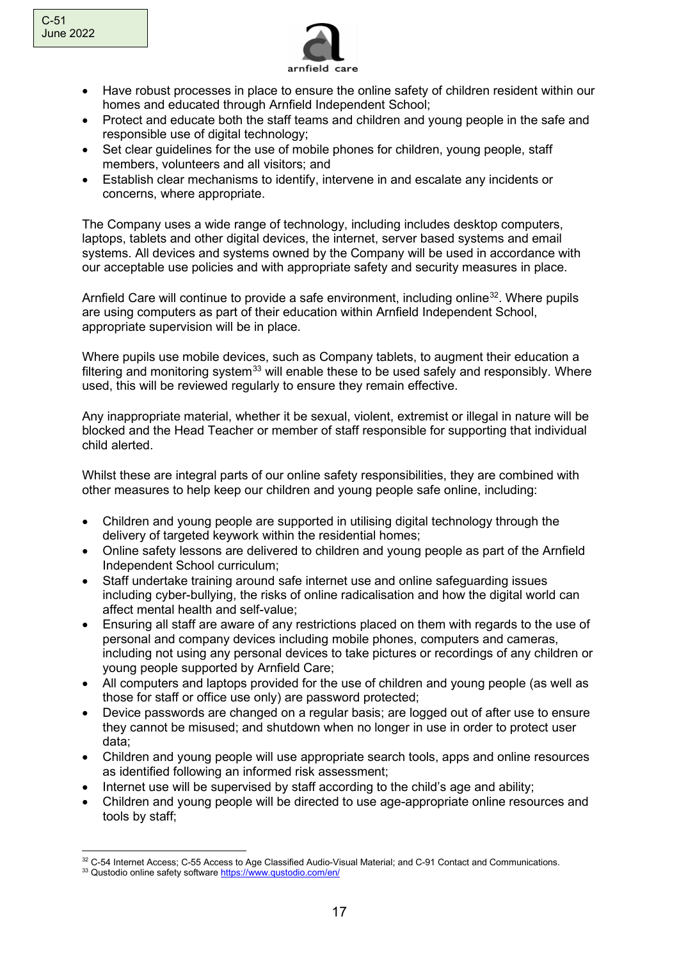

- Have robust processes in place to ensure the online safety of children resident within our homes and educated through Arnfield Independent School;
- Protect and educate both the staff teams and children and young people in the safe and responsible use of digital technology;
- Set clear guidelines for the use of mobile phones for children, young people, staff members, volunteers and all visitors; and
- Establish clear mechanisms to identify, intervene in and escalate any incidents or concerns, where appropriate.

The Company uses a wide range of technology, including includes desktop computers, laptops, tablets and other digital devices, the internet, server based systems and email systems. All devices and systems owned by the Company will be used in accordance with our acceptable use policies and with appropriate safety and security measures in place.

Arnfield Care will continue to provide a safe environment, including online<sup>[32](#page-16-0)</sup>. Where pupils are using computers as part of their education within Arnfield Independent School, appropriate supervision will be in place.

Where pupils use mobile devices, such as Company tablets, to augment their education a filtering and monitoring system $33$  will enable these to be used safely and responsibly. Where used, this will be reviewed regularly to ensure they remain effective.

Any inappropriate material, whether it be sexual, violent, extremist or illegal in nature will be blocked and the Head Teacher or member of staff responsible for supporting that individual child alerted.

Whilst these are integral parts of our online safety responsibilities, they are combined with other measures to help keep our children and young people safe online, including:

- Children and young people are supported in utilising digital technology through the delivery of targeted keywork within the residential homes;
- Online safety lessons are delivered to children and young people as part of the Arnfield Independent School curriculum;
- Staff undertake training around safe internet use and online safeguarding issues including cyber-bullying, the risks of online radicalisation and how the digital world can affect mental health and self-value;
- Ensuring all staff are aware of any restrictions placed on them with regards to the use of personal and company devices including mobile phones, computers and cameras, including not using any personal devices to take pictures or recordings of any children or young people supported by Arnfield Care;
- All computers and laptops provided for the use of children and young people (as well as those for staff or office use only) are password protected;
- Device passwords are changed on a regular basis; are logged out of after use to ensure they cannot be misused; and shutdown when no longer in use in order to protect user data;
- Children and young people will use appropriate search tools, apps and online resources as identified following an informed risk assessment;
- Internet use will be supervised by staff according to the child's age and ability;
- Children and young people will be directed to use age-appropriate online resources and tools by staff;

<span id="page-16-0"></span><sup>32</sup> C-54 Internet Access; C-55 Access to Age Classified Audio-Visual Material; and C-91 Contact and Communications.

<span id="page-16-1"></span><sup>33</sup> Qustodio online safety softwar[e https://www.qustodio.com/en/](https://www.qustodio.com/en/)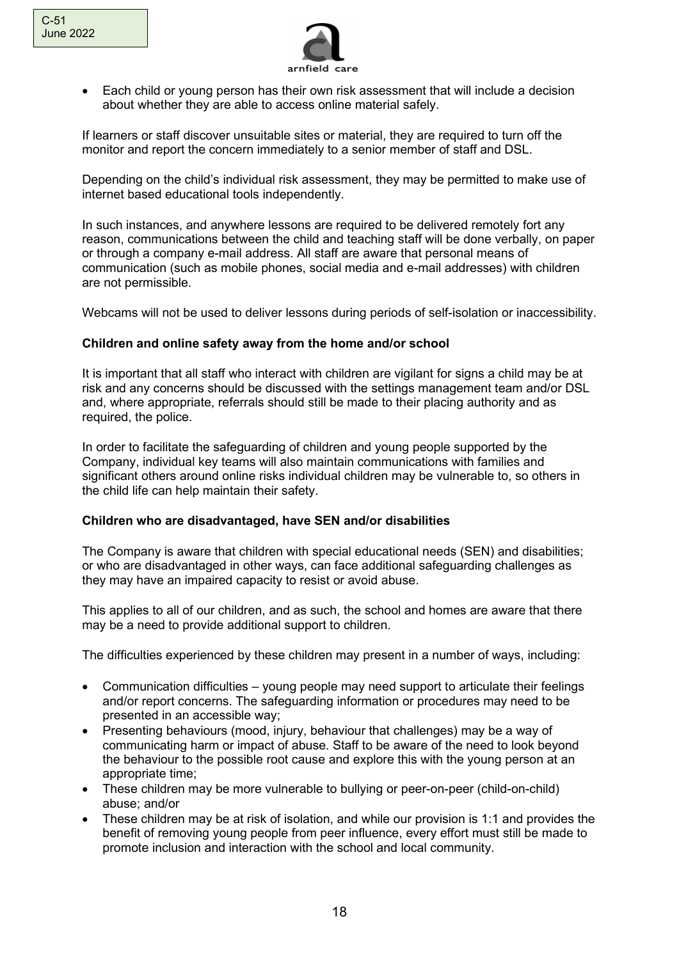

• Each child or young person has their own risk assessment that will include a decision about whether they are able to access online material safely.

If learners or staff discover unsuitable sites or material, they are required to turn off the monitor and report the concern immediately to a senior member of staff and DSL.

Depending on the child's individual risk assessment, they may be permitted to make use of internet based educational tools independently.

In such instances, and anywhere lessons are required to be delivered remotely fort any reason, communications between the child and teaching staff will be done verbally, on paper or through a company e-mail address. All staff are aware that personal means of communication (such as mobile phones, social media and e-mail addresses) with children are not permissible.

Webcams will not be used to deliver lessons during periods of self-isolation or inaccessibility.

### **Children and online safety away from the home and/or school**

It is important that all staff who interact with children are vigilant for signs a child may be at risk and any concerns should be discussed with the settings management team and/or DSL and, where appropriate, referrals should still be made to their placing authority and as required, the police.

In order to facilitate the safeguarding of children and young people supported by the Company, individual key teams will also maintain communications with families and significant others around online risks individual children may be vulnerable to, so others in the child life can help maintain their safety.

#### **Children who are disadvantaged, have SEN and/or disabilities**

The Company is aware that children with special educational needs (SEN) and disabilities; or who are disadvantaged in other ways, can face additional safeguarding challenges as they may have an impaired capacity to resist or avoid abuse.

This applies to all of our children, and as such, the school and homes are aware that there may be a need to provide additional support to children.

The difficulties experienced by these children may present in a number of ways, including:

- Communication difficulties young people may need support to articulate their feelings and/or report concerns. The safeguarding information or procedures may need to be presented in an accessible way;
- Presenting behaviours (mood, injury, behaviour that challenges) may be a way of communicating harm or impact of abuse. Staff to be aware of the need to look beyond the behaviour to the possible root cause and explore this with the young person at an appropriate time;
- These children may be more vulnerable to bullying or peer-on-peer (child-on-child) abuse; and/or
- These children may be at risk of isolation, and while our provision is 1:1 and provides the benefit of removing young people from peer influence, every effort must still be made to promote inclusion and interaction with the school and local community.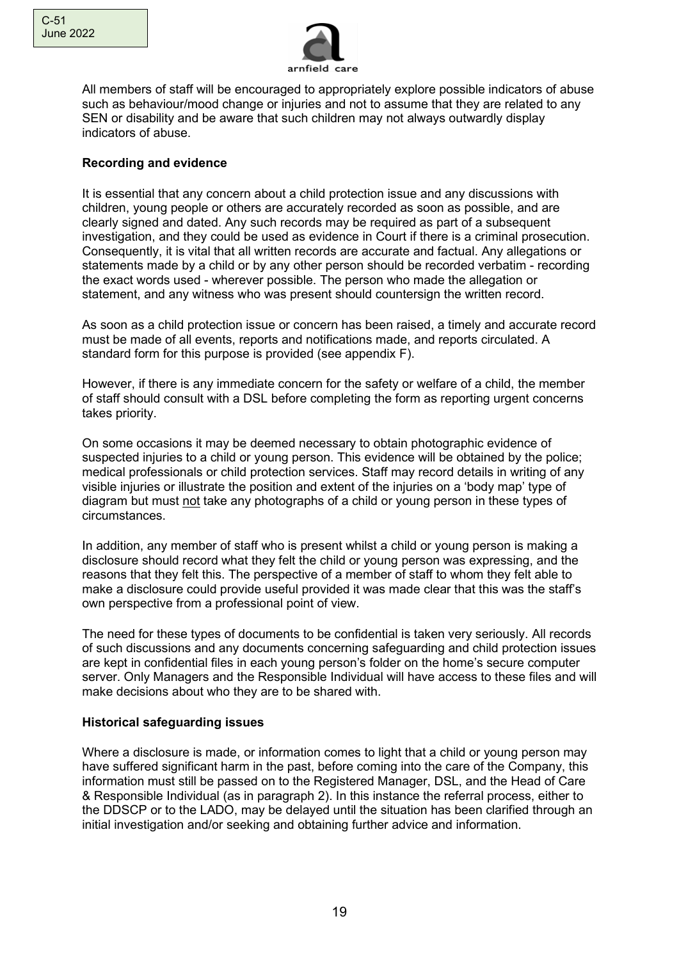

All members of staff will be encouraged to appropriately explore possible indicators of abuse such as behaviour/mood change or injuries and not to assume that they are related to any SEN or disability and be aware that such children may not always outwardly display indicators of abuse.

### **Recording and evidence**

It is essential that any concern about a child protection issue and any discussions with children, young people or others are accurately recorded as soon as possible, and are clearly signed and dated. Any such records may be required as part of a subsequent investigation, and they could be used as evidence in Court if there is a criminal prosecution. Consequently, it is vital that all written records are accurate and factual. Any allegations or statements made by a child or by any other person should be recorded verbatim - recording the exact words used - wherever possible. The person who made the allegation or statement, and any witness who was present should countersign the written record.

As soon as a child protection issue or concern has been raised, a timely and accurate record must be made of all events, reports and notifications made, and reports circulated. A standard form for this purpose is provided (see appendix F).

However, if there is any immediate concern for the safety or welfare of a child, the member of staff should consult with a DSL before completing the form as reporting urgent concerns takes priority.

On some occasions it may be deemed necessary to obtain photographic evidence of suspected injuries to a child or young person. This evidence will be obtained by the police; medical professionals or child protection services. Staff may record details in writing of any visible injuries or illustrate the position and extent of the injuries on a 'body map' type of diagram but must not take any photographs of a child or young person in these types of circumstances.

In addition, any member of staff who is present whilst a child or young person is making a disclosure should record what they felt the child or young person was expressing, and the reasons that they felt this. The perspective of a member of staff to whom they felt able to make a disclosure could provide useful provided it was made clear that this was the staff's own perspective from a professional point of view.

The need for these types of documents to be confidential is taken very seriously. All records of such discussions and any documents concerning safeguarding and child protection issues are kept in confidential files in each young person's folder on the home's secure computer server. Only Managers and the Responsible Individual will have access to these files and will make decisions about who they are to be shared with.

### **Historical safeguarding issues**

Where a disclosure is made, or information comes to light that a child or young person may have suffered significant harm in the past, before coming into the care of the Company, this information must still be passed on to the Registered Manager, DSL, and the Head of Care & Responsible Individual (as in paragraph 2). In this instance the referral process, either to the DDSCP or to the LADO, may be delayed until the situation has been clarified through an initial investigation and/or seeking and obtaining further advice and information.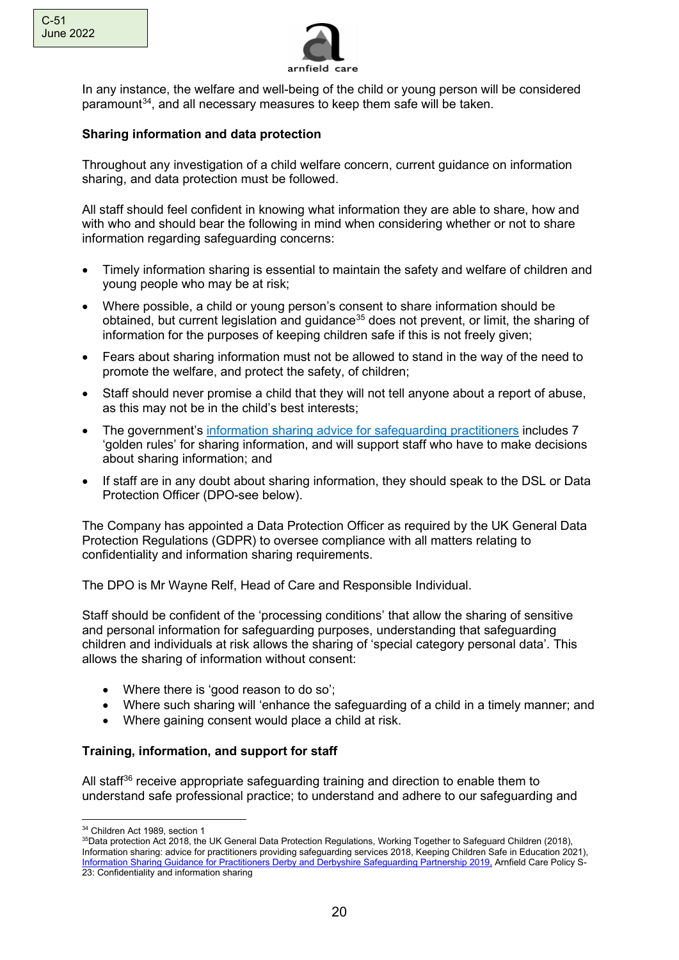



In any instance, the welfare and well-being of the child or young person will be considered paramount[34,](#page-19-0) and all necessary measures to keep them safe will be taken.

### **Sharing information and data protection**

Throughout any investigation of a child welfare concern, current guidance on information sharing, and data protection must be followed.

All staff should feel confident in knowing what information they are able to share, how and with who and should bear the following in mind when considering whether or not to share information regarding safeguarding concerns:

- Timely information sharing is essential to maintain the safety and welfare of children and young people who may be at risk;
- Where possible, a child or young person's consent to share information should be obtained, but current legislation and guidance<sup>35</sup> does not prevent, or limit, the sharing of information for the purposes of keeping children safe if this is not freely given;
- Fears about sharing information must not be allowed to stand in the way of the need to promote the welfare, and protect the safety, of children;
- Staff should never promise a child that they will not tell anyone about a report of abuse, as this may not be in the child's best interests;
- The government's [information sharing advice for safeguarding practitioners](https://www.gov.uk/government/publications/safeguarding-practitioners-information-sharing-advice) includes 7 'golden rules' for sharing information, and will support staff who have to make decisions about sharing information; and
- If staff are in any doubt about sharing information, they should speak to the DSL or Data Protection Officer (DPO-see below).

The Company has appointed a Data Protection Officer as required by the UK General Data Protection Regulations (GDPR) to oversee compliance with all matters relating to confidentiality and information sharing requirements.

The DPO is Mr Wayne Relf, Head of Care and Responsible Individual.

Staff should be confident of the 'processing conditions' that allow the sharing of sensitive and personal information for safeguarding purposes, understanding that safeguarding children and individuals at risk allows the sharing of 'special category personal data'. This allows the sharing of information without consent:

- Where there is 'good reason to do so';
- Where such sharing will 'enhance the safeguarding of a child in a timely manner; and
- Where gaining consent would place a child at risk.

### **Training, information, and support for staff**

All staff<sup>[36](#page-19-2)</sup> receive appropriate safeguarding training and direction to enable them to understand safe professional practice; to understand and adhere to our safeguarding and

<span id="page-19-2"></span><span id="page-19-0"></span><sup>34</sup> Children Act 1989, section 1

<span id="page-19-1"></span><sup>&</sup>lt;sup>35</sup>Data protection Act 2018, the UK General Data Protection Regulations, Working Together to Safeguard Children (2018), Information sharing: advice for practitioners providing safeguarding services 2018, Keeping Children Safe in Education 2021), Information Sharing Guidance for [Practitioners Derby and Derbyshire Safeguarding Partnership 2019,](https://www.ddscp.org.uk/media/derby-scb/content-assets/documents/procedures/guidance-docs/Information-Sharing-Guidance-for-Practitioners-FINAL-MAY-2019.pdf) Arnfield Care Policy S-23: Confidentiality and information sharing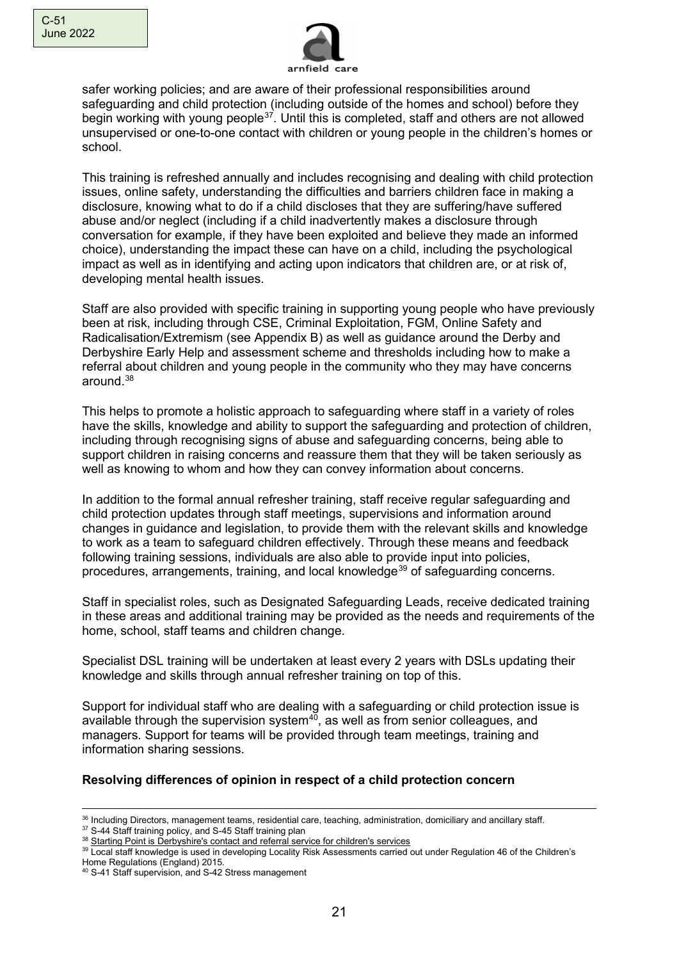

safer working policies; and are aware of their professional responsibilities around safeguarding and child protection (including outside of the homes and school) before they begin working with young people<sup>37</sup>. Until this is completed, staff and others are not allowed unsupervised or one-to-one contact with children or young people in the children's homes or school.

This training is refreshed annually and includes recognising and dealing with child protection issues, online safety, understanding the difficulties and barriers children face in making a disclosure, knowing what to do if a child discloses that they are suffering/have suffered abuse and/or neglect (including if a child inadvertently makes a disclosure through conversation for example, if they have been exploited and believe they made an informed choice), understanding the impact these can have on a child, including the psychological impact as well as in identifying and acting upon indicators that children are, or at risk of, developing mental health issues.

Staff are also provided with specific training in supporting young people who have previously been at risk, including through CSE, Criminal Exploitation, FGM, Online Safety and Radicalisation/Extremism (see Appendix B) as well as guidance around the Derby and Derbyshire Early Help and assessment scheme and thresholds including how to make a referral about children and young people in the community who they may have concerns around.[38](#page-20-1)

This helps to promote a holistic approach to safeguarding where staff in a variety of roles have the skills, knowledge and ability to support the safeguarding and protection of children, including through recognising signs of abuse and safeguarding concerns, being able to support children in raising concerns and reassure them that they will be taken seriously as well as knowing to whom and how they can convey information about concerns.

In addition to the formal annual refresher training, staff receive regular safeguarding and child protection updates through staff meetings, supervisions and information around changes in guidance and legislation, to provide them with the relevant skills and knowledge to work as a team to safeguard children effectively. Through these means and feedback following training sessions, individuals are also able to provide input into policies, procedures, arrangements, training, and local knowledge<sup>[39](#page-20-2)</sup> of safeguarding concerns.

Staff in specialist roles, such as Designated Safeguarding Leads, receive dedicated training in these areas and additional training may be provided as the needs and requirements of the home, school, staff teams and children change.

Specialist DSL training will be undertaken at least every 2 years with DSLs updating their knowledge and skills through annual refresher training on top of this.

Support for individual staff who are dealing with a safeguarding or child protection issue is available through the supervision system $40$ , as well as from senior colleagues, and managers. Support for teams will be provided through team meetings, training and information sharing sessions.

### **Resolving differences of opinion in respect of a child protection concern**

<span id="page-20-0"></span><sup>37</sup> S-44 Staff training policy, and S-45 Staff training plan

<sup>36</sup> Including Directors, management teams, residential care, teaching, administration, domiciliary and ancillary staff.

<span id="page-20-1"></span><sup>38</sup> [Starting Point is Derbyshire's contact and referral service for children's](https://apps.derbyshire.gov.uk/applications/formBuilder/starting-point/996FA446-5670-4083-AB96-D206B82553B0) services

<span id="page-20-2"></span><sup>39</sup> Local staff knowledge is used in developing Locality Risk Assessments carried out under Regulation 46 of the Children's

Home Regulations (England) 2015.

<span id="page-20-3"></span><sup>40</sup> S-41 Staff supervision, and S-42 Stress management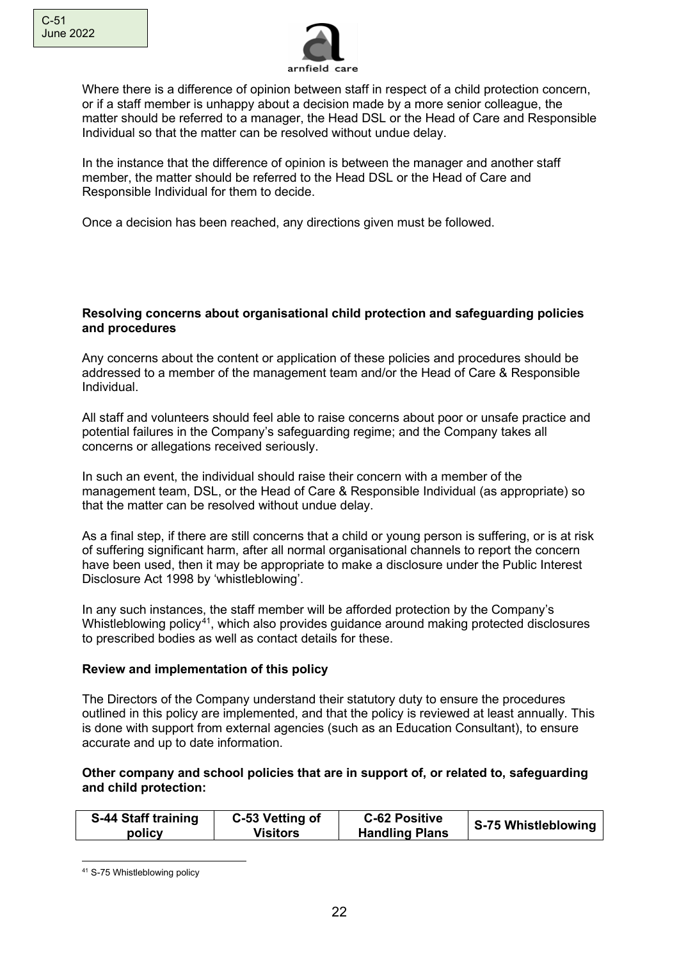

Where there is a difference of opinion between staff in respect of a child protection concern, or if a staff member is unhappy about a decision made by a more senior colleague, the matter should be referred to a manager, the Head DSL or the Head of Care and Responsible Individual so that the matter can be resolved without undue delay.

In the instance that the difference of opinion is between the manager and another staff member, the matter should be referred to the Head DSL or the Head of Care and Responsible Individual for them to decide.

Once a decision has been reached, any directions given must be followed.

#### **Resolving concerns about organisational child protection and safeguarding policies and procedures**

Any concerns about the content or application of these policies and procedures should be addressed to a member of the management team and/or the Head of Care & Responsible Individual.

All staff and volunteers should feel able to raise concerns about poor or unsafe practice and potential failures in the Company's safeguarding regime; and the Company takes all concerns or allegations received seriously.

In such an event, the individual should raise their concern with a member of the management team, DSL, or the Head of Care & Responsible Individual (as appropriate) so that the matter can be resolved without undue delay.

As a final step, if there are still concerns that a child or young person is suffering, or is at risk of suffering significant harm, after all normal organisational channels to report the concern have been used, then it may be appropriate to make a disclosure under the Public Interest Disclosure Act 1998 by 'whistleblowing'.

In any such instances, the staff member will be afforded protection by the Company's Whistleblowing policy<sup>41</sup>, which also provides quidance around making protected disclosures to prescribed bodies as well as contact details for these.

### **Review and implementation of this policy**

The Directors of the Company understand their statutory duty to ensure the procedures outlined in this policy are implemented, and that the policy is reviewed at least annually. This is done with support from external agencies (such as an Education Consultant), to ensure accurate and up to date information.

### **Other company and school policies that are in support of, or related to, safeguarding and child protection:**

| S-44 Staff training | C-53 Vetting of | <b>C-62 Positive</b>  | S-75 Whistleblowing |
|---------------------|-----------------|-----------------------|---------------------|
| policy              | <b>Visitors</b> | <b>Handling Plans</b> |                     |

<span id="page-21-0"></span><sup>41</sup> S-75 Whistleblowing policy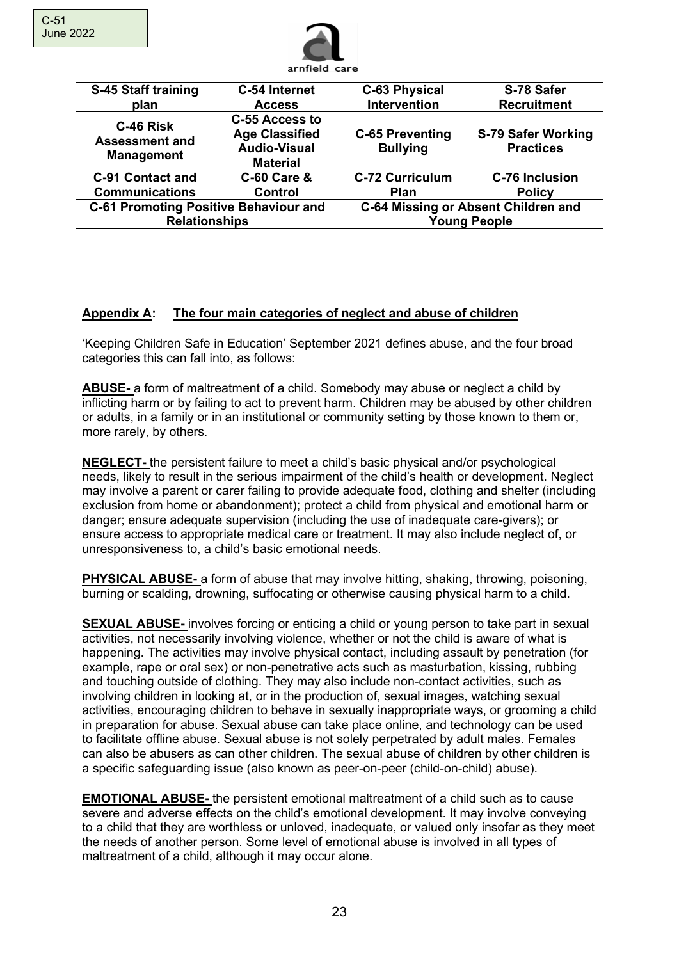

| S-45 Staff training<br>plan                                          | C-54 Internet<br><b>Access</b>                                                    | <b>C-63 Physical</b><br>Intervention      | S-78 Safer<br><b>Recruitment</b>                           |
|----------------------------------------------------------------------|-----------------------------------------------------------------------------------|-------------------------------------------|------------------------------------------------------------|
| C-46 Risk<br><b>Assessment and</b><br><b>Management</b>              | C-55 Access to<br><b>Age Classified</b><br><b>Audio-Visual</b><br><b>Material</b> | <b>C-65 Preventing</b><br><b>Bullying</b> | S-79 Safer Working<br><b>Practices</b>                     |
| <b>C-91 Contact and</b>                                              | <b>C-60 Care &amp;</b>                                                            | <b>C-72 Curriculum</b>                    | <b>C-76 Inclusion</b>                                      |
| <b>Communications</b>                                                | <b>Control</b>                                                                    | <b>Plan</b>                               | <b>Policy</b>                                              |
| <b>C-61 Promoting Positive Behaviour and</b><br><b>Relationships</b> |                                                                                   |                                           | C-64 Missing or Absent Children and<br><b>Young People</b> |

# **Appendix A: The four main categories of neglect and abuse of children**

'Keeping Children Safe in Education' September 2021 defines abuse, and the four broad categories this can fall into, as follows:

**ABUSE-** a form of maltreatment of a child. Somebody may abuse or neglect a child by inflicting harm or by failing to act to prevent harm. Children may be abused by other children or adults, in a family or in an institutional or community setting by those known to them or, more rarely, by others.

**NEGLECT-** the persistent failure to meet a child's basic physical and/or psychological needs, likely to result in the serious impairment of the child's health or development. Neglect may involve a parent or carer failing to provide adequate food, clothing and shelter (including exclusion from home or abandonment); protect a child from physical and emotional harm or danger; ensure adequate supervision (including the use of inadequate care-givers); or ensure access to appropriate medical care or treatment. It may also include neglect of, or unresponsiveness to, a child's basic emotional needs.

**PHYSICAL ABUSE-** a form of abuse that may involve hitting, shaking, throwing, poisoning, burning or scalding, drowning, suffocating or otherwise causing physical harm to a child.

**SEXUAL ABUSE-** involves forcing or enticing a child or young person to take part in sexual activities, not necessarily involving violence, whether or not the child is aware of what is happening. The activities may involve physical contact, including assault by penetration (for example, rape or oral sex) or non-penetrative acts such as masturbation, kissing, rubbing and touching outside of clothing. They may also include non-contact activities, such as involving children in looking at, or in the production of, sexual images, watching sexual activities, encouraging children to behave in sexually inappropriate ways, or grooming a child in preparation for abuse. Sexual abuse can take place online, and technology can be used to facilitate offline abuse. Sexual abuse is not solely perpetrated by adult males. Females can also be abusers as can other children. The sexual abuse of children by other children is a specific safeguarding issue (also known as peer-on-peer (child-on-child) abuse).

**EMOTIONAL ABUSE-** the persistent emotional maltreatment of a child such as to cause severe and adverse effects on the child's emotional development. It may involve conveying to a child that they are worthless or unloved, inadequate, or valued only insofar as they meet the needs of another person. Some level of emotional abuse is involved in all types of maltreatment of a child, although it may occur alone.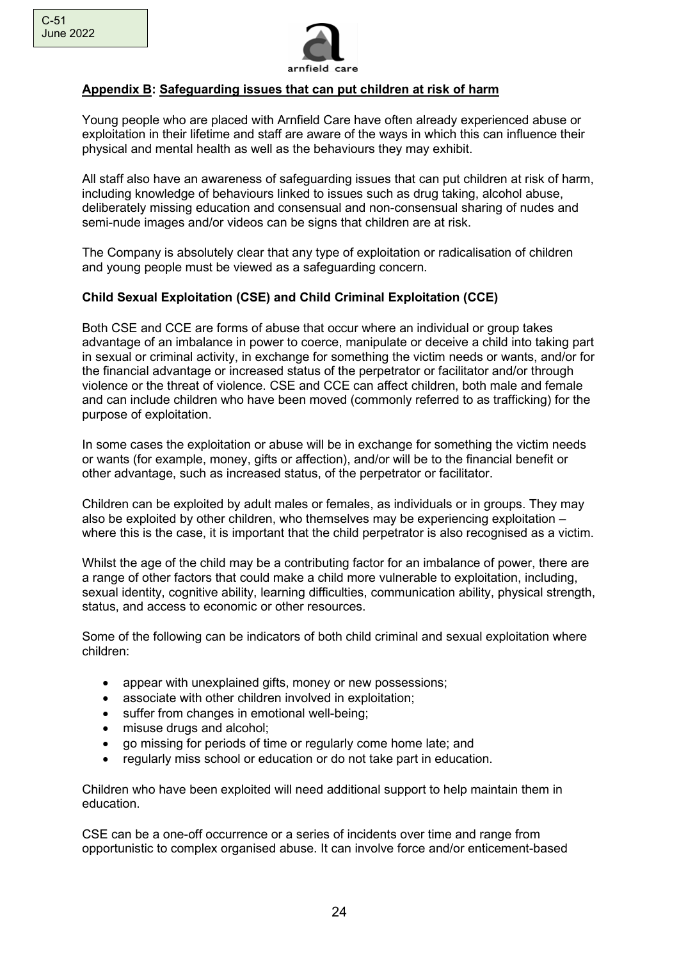

# **Appendix B: Safeguarding issues that can put children at risk of harm**

Young people who are placed with Arnfield Care have often already experienced abuse or exploitation in their lifetime and staff are aware of the ways in which this can influence their physical and mental health as well as the behaviours they may exhibit.

All staff also have an awareness of safeguarding issues that can put children at risk of harm, including knowledge of behaviours linked to issues such as drug taking, alcohol abuse, deliberately missing education and consensual and non-consensual sharing of nudes and semi-nude images and/or videos can be signs that children are at risk.

The Company is absolutely clear that any type of exploitation or radicalisation of children and young people must be viewed as a safeguarding concern.

# **Child Sexual Exploitation (CSE) and Child Criminal Exploitation (CCE)**

Both CSE and CCE are forms of abuse that occur where an individual or group takes advantage of an imbalance in power to coerce, manipulate or deceive a child into taking part in sexual or criminal activity, in exchange for something the victim needs or wants, and/or for the financial advantage or increased status of the perpetrator or facilitator and/or through violence or the threat of violence. CSE and CCE can affect children, both male and female and can include children who have been moved (commonly referred to as trafficking) for the purpose of exploitation.

In some cases the exploitation or abuse will be in exchange for something the victim needs or wants (for example, money, gifts or affection), and/or will be to the financial benefit or other advantage, such as increased status, of the perpetrator or facilitator.

Children can be exploited by adult males or females, as individuals or in groups. They may also be exploited by other children, who themselves may be experiencing exploitation – where this is the case, it is important that the child perpetrator is also recognised as a victim.

Whilst the age of the child may be a contributing factor for an imbalance of power, there are a range of other factors that could make a child more vulnerable to exploitation, including, sexual identity, cognitive ability, learning difficulties, communication ability, physical strength, status, and access to economic or other resources.

Some of the following can be indicators of both child criminal and sexual exploitation where children:

- appear with unexplained gifts, money or new possessions;
- associate with other children involved in exploitation;
- suffer from changes in emotional well-being:
- misuse drugs and alcohol;
- go missing for periods of time or regularly come home late; and
- regularly miss school or education or do not take part in education.

Children who have been exploited will need additional support to help maintain them in education.

CSE can be a one-off occurrence or a series of incidents over time and range from opportunistic to complex organised abuse. It can involve force and/or enticement-based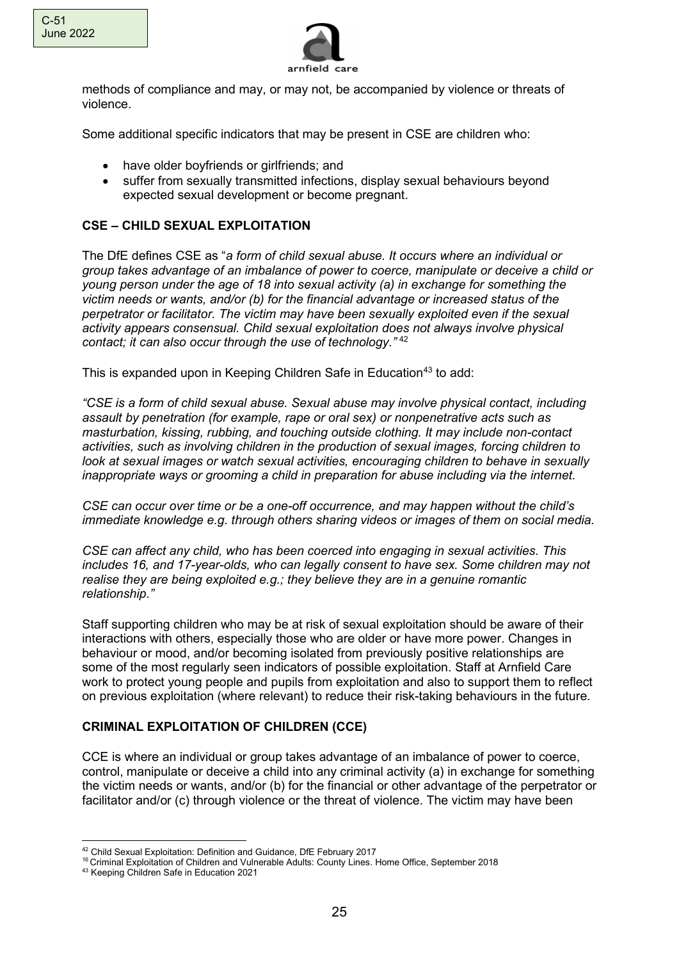



methods of compliance and may, or may not, be accompanied by violence or threats of violence.

Some additional specific indicators that may be present in CSE are children who:

- have older boyfriends or girlfriends; and
- suffer from sexually transmitted infections, display sexual behaviours beyond expected sexual development or become pregnant.

### **CSE – CHILD SEXUAL EXPLOITATION**

The DfE defines CSE as "*a form of child sexual abuse. It occurs where an individual or group takes advantage of an imbalance of power to coerce, manipulate or deceive a child or young person under the age of 18 into sexual activity (a) in exchange for something the victim needs or wants, and/or (b) for the financial advantage or increased status of the perpetrator or facilitator. The victim may have been sexually exploited even if the sexual activity appears consensual. Child sexual exploitation does not always involve physical contact; it can also occur through the use of technology."* [42](#page-24-0)

This is expanded upon in Keeping Children Safe in Education<sup>[43](#page-24-1)</sup> to add:

*"CSE is a form of child sexual abuse. Sexual abuse may involve physical contact, including assault by penetration (for example, rape or oral sex) or nonpenetrative acts such as masturbation, kissing, rubbing, and touching outside clothing. It may include non-contact activities, such as involving children in the production of sexual images, forcing children to look at sexual images or watch sexual activities, encouraging children to behave in sexually inappropriate ways or grooming a child in preparation for abuse including via the internet.*

*CSE can occur over time or be a one-off occurrence, and may happen without the child's immediate knowledge e.g. through others sharing videos or images of them on social media.*

*CSE can affect any child, who has been coerced into engaging in sexual activities. This includes 16, and 17-year-olds, who can legally consent to have sex. Some children may not realise they are being exploited e.g.; they believe they are in a genuine romantic relationship."*

Staff supporting children who may be at risk of sexual exploitation should be aware of their interactions with others, especially those who are older or have more power. Changes in behaviour or mood, and/or becoming isolated from previously positive relationships are some of the most regularly seen indicators of possible exploitation. Staff at Arnfield Care work to protect young people and pupils from exploitation and also to support them to reflect on previous exploitation (where relevant) to reduce their risk-taking behaviours in the future.

### **CRIMINAL EXPLOITATION OF CHILDREN (CCE)**

CCE is where an individual or group takes advantage of an imbalance of power to coerce, control, manipulate or deceive a child into any criminal activity (a) in exchange for something the victim needs or wants, and/or (b) for the financial or other advantage of the perpetrator or facilitator and/or (c) through violence or the threat of violence. The victim may have been

<span id="page-24-0"></span><sup>42</sup> Child Sexual Exploitation: Definition and Guidance, DfE February 2017

<sup>16</sup> Criminal Exploitation of Children and Vulnerable Adults: County Lines. Home Office, September 2018

<span id="page-24-1"></span><sup>43</sup> Keeping Children Safe in Education 2021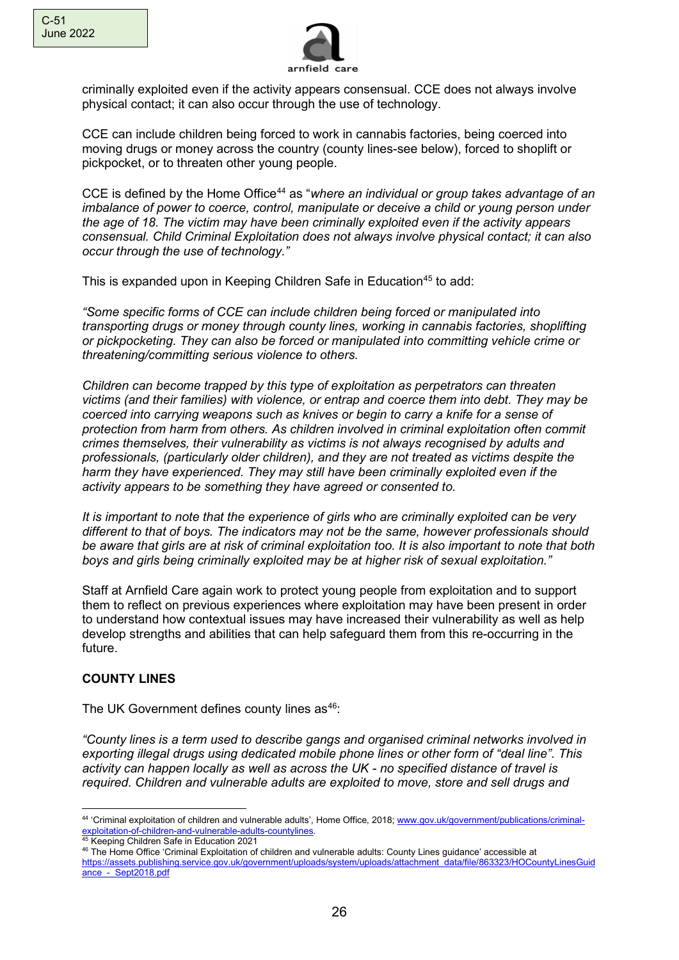

criminally exploited even if the activity appears consensual. CCE does not always involve physical contact; it can also occur through the use of technology.

CCE can include children being forced to work in cannabis factories, being coerced into moving drugs or money across the country (county lines-see below), forced to shoplift or pickpocket, or to threaten other young people.

CCE is defined by the Home Office[44](#page-25-0) as "*where an individual or group takes advantage of an imbalance of power to coerce, control, manipulate or deceive a child or young person under the age of 18. The victim may have been criminally exploited even if the activity appears consensual. Child Criminal Exploitation does not always involve physical contact; it can also occur through the use of technology."*

This is expanded upon in Keeping Children Safe in Education<sup>[45](#page-25-1)</sup> to add:

*"Some specific forms of CCE can include children being forced or manipulated into transporting drugs or money through county lines, working in cannabis factories, shoplifting or pickpocketing. They can also be forced or manipulated into committing vehicle crime or threatening/committing serious violence to others.*

*Children can become trapped by this type of exploitation as perpetrators can threaten victims (and their families) with violence, or entrap and coerce them into debt. They may be coerced into carrying weapons such as knives or begin to carry a knife for a sense of protection from harm from others. As children involved in criminal exploitation often commit crimes themselves, their vulnerability as victims is not always recognised by adults and professionals, (particularly older children), and they are not treated as victims despite the harm they have experienced. They may still have been criminally exploited even if the activity appears to be something they have agreed or consented to.*

*It is important to note that the experience of girls who are criminally exploited can be very different to that of boys. The indicators may not be the same, however professionals should be aware that girls are at risk of criminal exploitation too. It is also important to note that both boys and girls being criminally exploited may be at higher risk of sexual exploitation."* 

Staff at Arnfield Care again work to protect young people from exploitation and to support them to reflect on previous experiences where exploitation may have been present in order to understand how contextual issues may have increased their vulnerability as well as help develop strengths and abilities that can help safeguard them from this re-occurring in the future.

# **COUNTY LINES**

The UK Government defines county lines as<sup>[46](#page-25-2)</sup>:

*"County lines is a term used to describe gangs and organised criminal networks involved in exporting illegal drugs using dedicated mobile phone lines or other form of "deal line". This activity can happen locally as well as across the UK - no specified distance of travel is required. Children and vulnerable adults are exploited to move, store and sell drugs and* 

<span id="page-25-0"></span><sup>44</sup> 'Criminal exploitation of children and vulnerable adults', Home Office, 2018; [www.gov.uk/government/publications/criminal](http://www.gov.uk/government/publications/criminal-exploitation-of-children-and-vulnerable-adults-countylines)[exploitation-of-children-and-vulnerable-adults-countylines.](http://www.gov.uk/government/publications/criminal-exploitation-of-children-and-vulnerable-adults-countylines)<br>45 Keeping Children Safe in Education 2021

<span id="page-25-2"></span><span id="page-25-1"></span><sup>&</sup>lt;sup>46</sup> The Home Office 'Criminal Exploitation of children and vulnerable adults: County Lines guidance' accessible at [https://assets.publishing.service.gov.uk/government/uploads/system/uploads/attachment\\_data/file/863323/HOCountyLinesGuid](https://assets.publishing.service.gov.uk/government/uploads/system/uploads/attachment_data/file/863323/HOCountyLinesGuidance_-_Sept2018.pdf) ance - Sept2018.pdf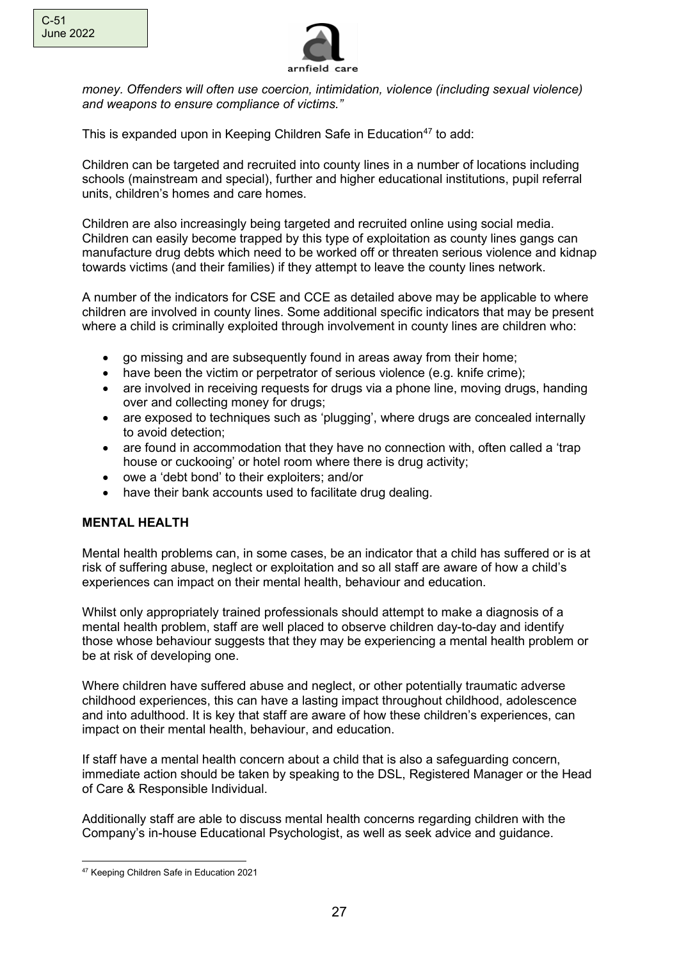

*money. Offenders will often use coercion, intimidation, violence (including sexual violence) and weapons to ensure compliance of victims."*

This is expanded upon in Keeping Children Safe in Education<sup>[47](#page-26-0)</sup> to add:

Children can be targeted and recruited into county lines in a number of locations including schools (mainstream and special), further and higher educational institutions, pupil referral units, children's homes and care homes.

Children are also increasingly being targeted and recruited online using social media. Children can easily become trapped by this type of exploitation as county lines gangs can manufacture drug debts which need to be worked off or threaten serious violence and kidnap towards victims (and their families) if they attempt to leave the county lines network.

A number of the indicators for CSE and CCE as detailed above may be applicable to where children are involved in county lines. Some additional specific indicators that may be present where a child is criminally exploited through involvement in county lines are children who:

- go missing and are subsequently found in areas away from their home;
- have been the victim or perpetrator of serious violence (e.g. knife crime);
- are involved in receiving requests for drugs via a phone line, moving drugs, handing over and collecting money for drugs;
- are exposed to techniques such as 'plugging', where drugs are concealed internally to avoid detection;
- are found in accommodation that they have no connection with, often called a 'trap house or cuckooing' or hotel room where there is drug activity;
- owe a 'debt bond' to their exploiters; and/or
- have their bank accounts used to facilitate drug dealing.

### **MENTAL HEALTH**

Mental health problems can, in some cases, be an indicator that a child has suffered or is at risk of suffering abuse, neglect or exploitation and so all staff are aware of how a child's experiences can impact on their mental health, behaviour and education.

Whilst only appropriately trained professionals should attempt to make a diagnosis of a mental health problem, staff are well placed to observe children day-to-day and identify those whose behaviour suggests that they may be experiencing a mental health problem or be at risk of developing one.

Where children have suffered abuse and neglect, or other potentially traumatic adverse childhood experiences, this can have a lasting impact throughout childhood, adolescence and into adulthood. It is key that staff are aware of how these children's experiences, can impact on their mental health, behaviour, and education.

If staff have a mental health concern about a child that is also a safeguarding concern, immediate action should be taken by speaking to the DSL, Registered Manager or the Head of Care & Responsible Individual.

Additionally staff are able to discuss mental health concerns regarding children with the Company's in-house Educational Psychologist, as well as seek advice and guidance.

<span id="page-26-0"></span><sup>47</sup> Keeping Children Safe in Education 2021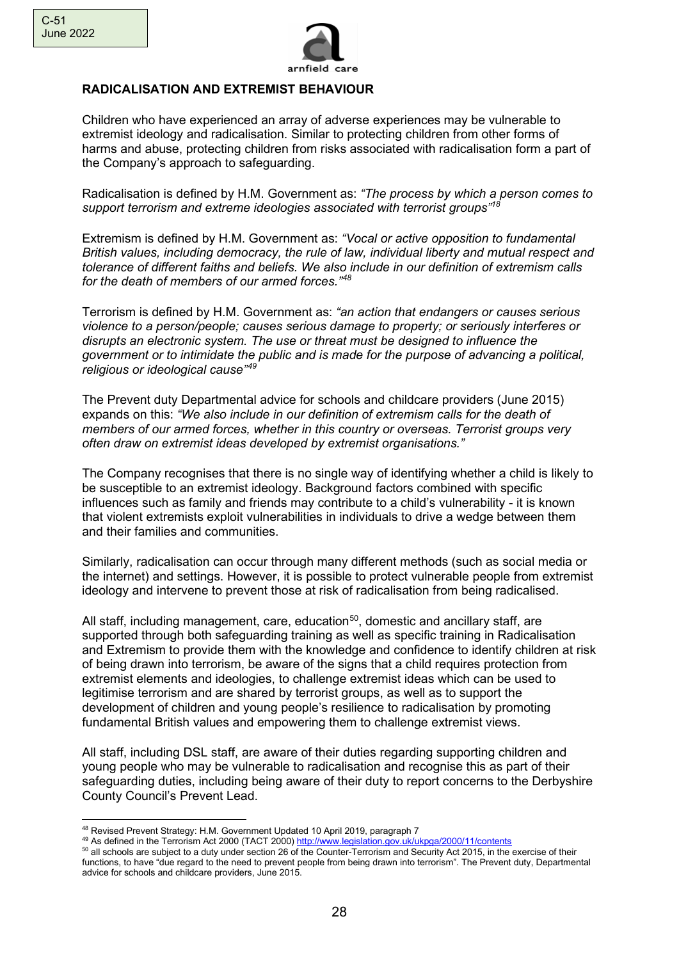

### **RADICALISATION AND EXTREMIST BEHAVIOUR**

Children who have experienced an array of adverse experiences may be vulnerable to extremist ideology and radicalisation. Similar to protecting children from other forms of harms and abuse, protecting children from risks associated with radicalisation form a part of the Company's approach to safeguarding.

Radicalisation is defined by H.M. Government as: *"The process by which a person comes to support terrorism and extreme ideologies associated with terrorist groups"<sup>18</sup>*

Extremism is defined by H.M. Government as: *"Vocal or active opposition to fundamental British values, including democracy, the rule of law, individual liberty and mutual respect and tolerance of different faiths and beliefs. We also include in our definition of extremism calls for the death of members of our armed forces."[48](#page-27-0)*

Terrorism is defined by H.M. Government as: *"an action that endangers or causes serious violence to a person/people; causes serious damage to property; or seriously interferes or disrupts an electronic system. The use or threat must be designed to influence the government or to intimidate the public and is made for the purpose of advancing a political, religious or ideological cause" [49](#page-27-1)*

The Prevent duty Departmental advice for schools and childcare providers (June 2015) expands on this: *"We also include in our definition of extremism calls for the death of members of our armed forces, whether in this country or overseas. Terrorist groups very often draw on extremist ideas developed by extremist organisations."*

The Company recognises that there is no single way of identifying whether a child is likely to be susceptible to an extremist ideology. Background factors combined with specific influences such as family and friends may contribute to a child's vulnerability - it is known that violent extremists exploit vulnerabilities in individuals to drive a wedge between them and their families and communities.

Similarly, radicalisation can occur through many different methods (such as social media or the internet) and settings. However, it is possible to protect vulnerable people from extremist ideology and intervene to prevent those at risk of radicalisation from being radicalised.

All staff, including management, care, education<sup>[50](#page-27-2)</sup>, domestic and ancillary staff, are supported through both safeguarding training as well as specific training in Radicalisation and Extremism to provide them with the knowledge and confidence to identify children at risk of being drawn into terrorism, be aware of the signs that a child requires protection from extremist elements and ideologies, to challenge extremist ideas which can be used to legitimise terrorism and are shared by terrorist groups, as well as to support the development of children and young people's resilience to radicalisation by promoting fundamental British values and empowering them to challenge extremist views.

All staff, including DSL staff, are aware of their duties regarding supporting children and young people who may be vulnerable to radicalisation and recognise this as part of their safeguarding duties, including being aware of their duty to report concerns to the Derbyshire County Council's Prevent Lead.

<span id="page-27-0"></span><sup>48</sup> Revised Prevent Strategy: H.M. Government Updated 10 April 2019, paragraph 7

<span id="page-27-1"></span><sup>49</sup> As defined in the Terrorism Act 2000 (TACT 2000) <http://www.legislation.gov.uk/ukpga/2000/11/contents>

<span id="page-27-2"></span><sup>&</sup>lt;sup>50</sup> all schools are subject to a duty under section 26 of the Counter-Terrorism and Security Act 2015, in the exercise of their functions, to have "due regard to the need to prevent people from being drawn into terrorism". The Prevent duty, Departmental advice for schools and childcare providers, June 2015.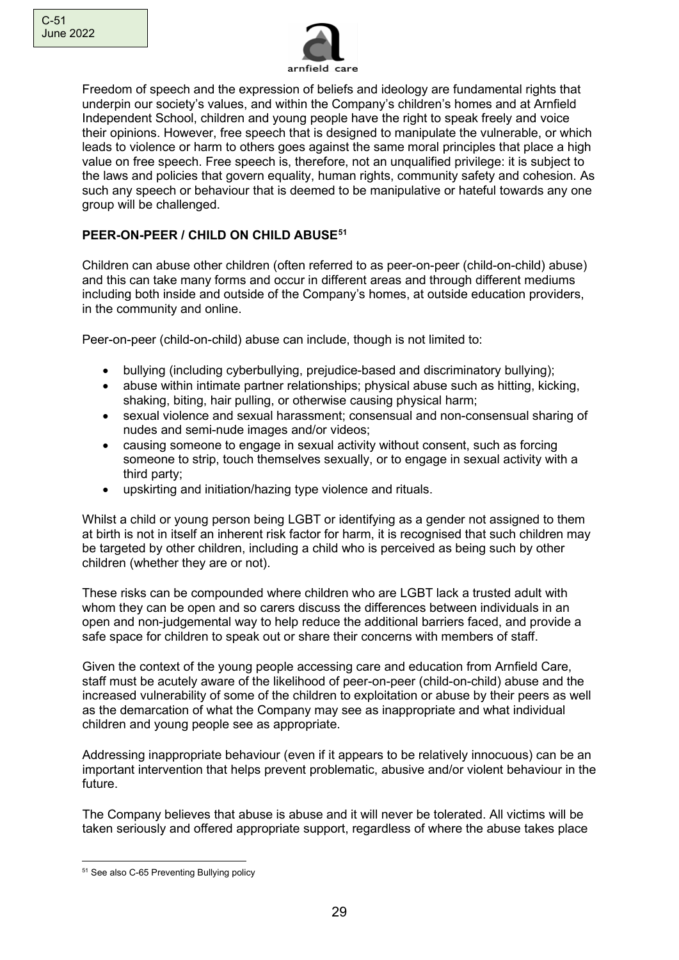

Freedom of speech and the expression of beliefs and ideology are fundamental rights that underpin our society's values, and within the Company's children's homes and at Arnfield Independent School, children and young people have the right to speak freely and voice their opinions. However, free speech that is designed to manipulate the vulnerable, or which leads to violence or harm to others goes against the same moral principles that place a high value on free speech. Free speech is, therefore, not an unqualified privilege: it is subject to the laws and policies that govern equality, human rights, community safety and cohesion. As such any speech or behaviour that is deemed to be manipulative or hateful towards any one group will be challenged.

# **PEER-ON-PEER / CHILD ON CHILD ABUSE[51](#page-28-0)**

Children can abuse other children (often referred to as peer-on-peer (child-on-child) abuse) and this can take many forms and occur in different areas and through different mediums including both inside and outside of the Company's homes, at outside education providers, in the community and online.

Peer-on-peer (child-on-child) abuse can include, though is not limited to:

- bullying (including cyberbullying, prejudice-based and discriminatory bullying);
- abuse within intimate partner relationships; physical abuse such as hitting, kicking, shaking, biting, hair pulling, or otherwise causing physical harm;
- sexual violence and sexual harassment; consensual and non-consensual sharing of nudes and semi-nude images and/or videos;
- causing someone to engage in sexual activity without consent, such as forcing someone to strip, touch themselves sexually, or to engage in sexual activity with a third party;
- upskirting and initiation/hazing type violence and rituals.

Whilst a child or young person being LGBT or identifying as a gender not assigned to them at birth is not in itself an inherent risk factor for harm, it is recognised that such children may be targeted by other children, including a child who is perceived as being such by other children (whether they are or not).

These risks can be compounded where children who are LGBT lack a trusted adult with whom they can be open and so carers discuss the differences between individuals in an open and non-judgemental way to help reduce the additional barriers faced, and provide a safe space for children to speak out or share their concerns with members of staff.

Given the context of the young people accessing care and education from Arnfield Care, staff must be acutely aware of the likelihood of peer-on-peer (child-on-child) abuse and the increased vulnerability of some of the children to exploitation or abuse by their peers as well as the demarcation of what the Company may see as inappropriate and what individual children and young people see as appropriate.

Addressing inappropriate behaviour (even if it appears to be relatively innocuous) can be an important intervention that helps prevent problematic, abusive and/or violent behaviour in the future.

The Company believes that abuse is abuse and it will never be tolerated. All victims will be taken seriously and offered appropriate support, regardless of where the abuse takes place

<span id="page-28-0"></span><sup>51</sup> See also C-65 Preventing Bullying policy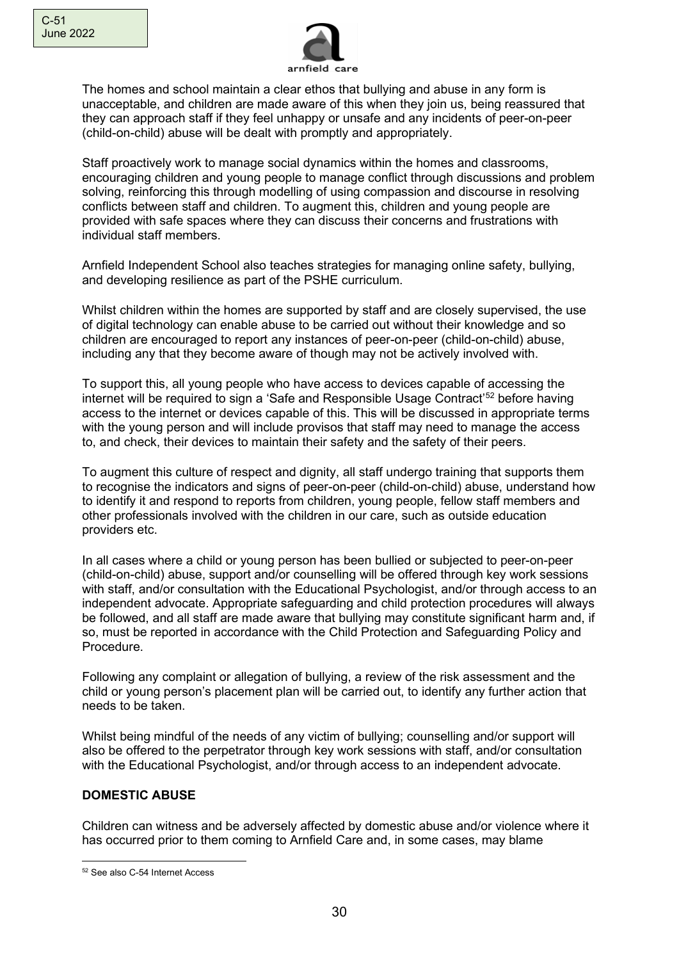

The homes and school maintain a clear ethos that bullying and abuse in any form is unacceptable, and children are made aware of this when they join us, being reassured that they can approach staff if they feel unhappy or unsafe and any incidents of peer-on-peer (child-on-child) abuse will be dealt with promptly and appropriately.

Staff proactively work to manage social dynamics within the homes and classrooms, encouraging children and young people to manage conflict through discussions and problem solving, reinforcing this through modelling of using compassion and discourse in resolving conflicts between staff and children. To augment this, children and young people are provided with safe spaces where they can discuss their concerns and frustrations with individual staff members.

Arnfield Independent School also teaches strategies for managing online safety, bullying, and developing resilience as part of the PSHE curriculum.

Whilst children within the homes are supported by staff and are closely supervised, the use of digital technology can enable abuse to be carried out without their knowledge and so children are encouraged to report any instances of peer-on-peer (child-on-child) abuse, including any that they become aware of though may not be actively involved with.

To support this, all young people who have access to devices capable of accessing the internet will be required to sign a 'Safe and Responsible Usage Contract'<sup>[52](#page-29-0)</sup> before having access to the internet or devices capable of this. This will be discussed in appropriate terms with the young person and will include provisos that staff may need to manage the access to, and check, their devices to maintain their safety and the safety of their peers.

To augment this culture of respect and dignity, all staff undergo training that supports them to recognise the indicators and signs of peer-on-peer (child-on-child) abuse, understand how to identify it and respond to reports from children, young people, fellow staff members and other professionals involved with the children in our care, such as outside education providers etc.

In all cases where a child or young person has been bullied or subjected to peer-on-peer (child-on-child) abuse, support and/or counselling will be offered through key work sessions with staff, and/or consultation with the Educational Psychologist, and/or through access to an independent advocate. Appropriate safeguarding and child protection procedures will always be followed, and all staff are made aware that bullying may constitute significant harm and, if so, must be reported in accordance with the Child Protection and Safeguarding Policy and Procedure.

Following any complaint or allegation of bullying, a review of the risk assessment and the child or young person's placement plan will be carried out, to identify any further action that needs to be taken.

Whilst being mindful of the needs of any victim of bullying; counselling and/or support will also be offered to the perpetrator through key work sessions with staff, and/or consultation with the Educational Psychologist, and/or through access to an independent advocate.

### **DOMESTIC ABUSE**

Children can witness and be adversely affected by domestic abuse and/or violence where it has occurred prior to them coming to Arnfield Care and, in some cases, may blame

<span id="page-29-0"></span><sup>52</sup> See also C-54 Internet Access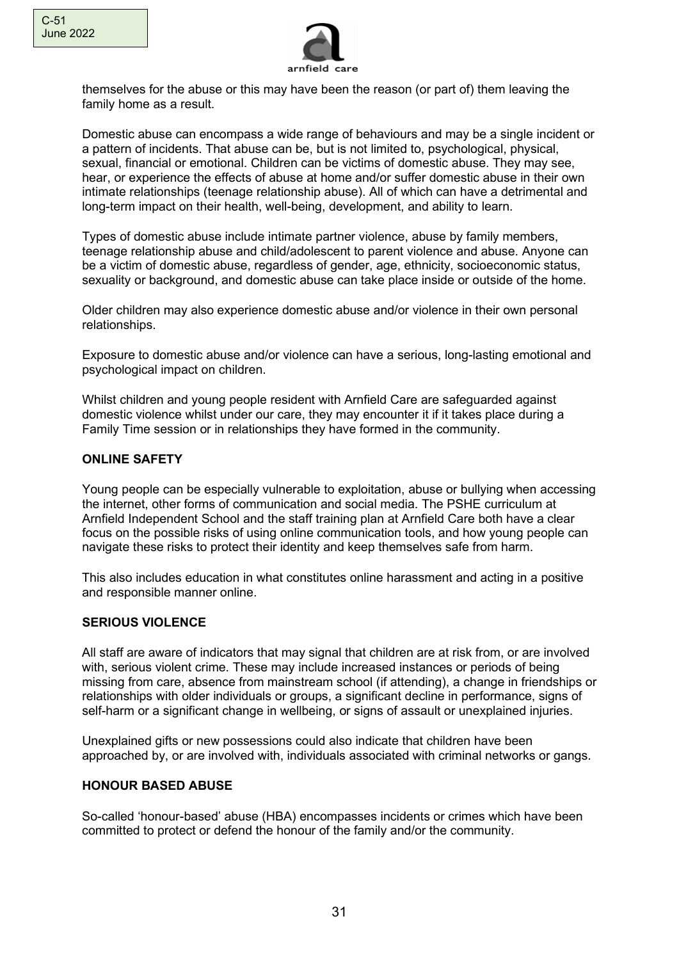

themselves for the abuse or this may have been the reason (or part of) them leaving the family home as a result.

Domestic abuse can encompass a wide range of behaviours and may be a single incident or a pattern of incidents. That abuse can be, but is not limited to, psychological, physical, sexual, financial or emotional. Children can be victims of domestic abuse. They may see, hear, or experience the effects of abuse at home and/or suffer domestic abuse in their own intimate relationships (teenage relationship abuse). All of which can have a detrimental and long-term impact on their health, well-being, development, and ability to learn.

Types of domestic abuse include intimate partner violence, abuse by family members, teenage relationship abuse and child/adolescent to parent violence and abuse. Anyone can be a victim of domestic abuse, regardless of gender, age, ethnicity, socioeconomic status, sexuality or background, and domestic abuse can take place inside or outside of the home.

Older children may also experience domestic abuse and/or violence in their own personal relationships.

Exposure to domestic abuse and/or violence can have a serious, long-lasting emotional and psychological impact on children.

Whilst children and young people resident with Arnfield Care are safeguarded against domestic violence whilst under our care, they may encounter it if it takes place during a Family Time session or in relationships they have formed in the community.

### **ONLINE SAFETY**

Young people can be especially vulnerable to exploitation, abuse or bullying when accessing the internet, other forms of communication and social media. The PSHE curriculum at Arnfield Independent School and the staff training plan at Arnfield Care both have a clear focus on the possible risks of using online communication tools, and how young people can navigate these risks to protect their identity and keep themselves safe from harm.

This also includes education in what constitutes online harassment and acting in a positive and responsible manner online.

### **SERIOUS VIOLENCE**

All staff are aware of indicators that may signal that children are at risk from, or are involved with, serious violent crime. These may include increased instances or periods of being missing from care, absence from mainstream school (if attending), a change in friendships or relationships with older individuals or groups, a significant decline in performance, signs of self-harm or a significant change in wellbeing, or signs of assault or unexplained injuries.

Unexplained gifts or new possessions could also indicate that children have been approached by, or are involved with, individuals associated with criminal networks or gangs.

### **HONOUR BASED ABUSE**

So-called 'honour-based' abuse (HBA) encompasses incidents or crimes which have been committed to protect or defend the honour of the family and/or the community.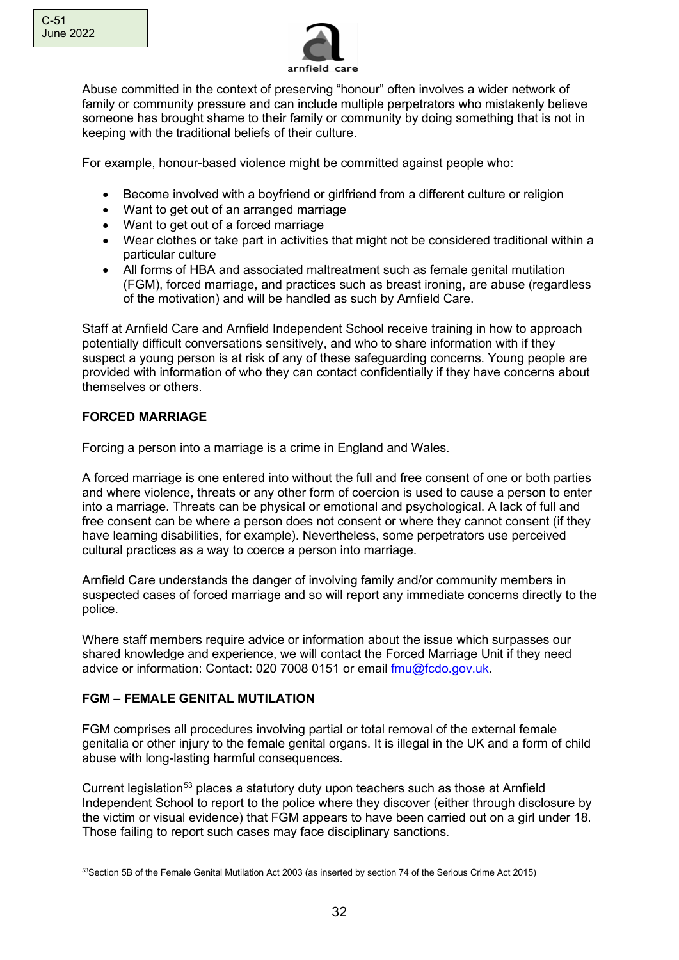

Abuse committed in the context of preserving "honour" often involves a wider network of family or community pressure and can include multiple perpetrators who mistakenly believe someone has brought shame to their family or community by doing something that is not in keeping with the traditional beliefs of their culture.

For example, honour-based violence might be committed against people who:

- Become involved with a boyfriend or girlfriend from a different culture or religion
- Want to get out of an arranged marriage
- Want to get out of a forced marriage
- Wear clothes or take part in activities that might not be considered traditional within a particular culture
- All forms of HBA and associated maltreatment such as female genital mutilation (FGM), forced marriage, and practices such as breast ironing, are abuse (regardless of the motivation) and will be handled as such by Arnfield Care.

Staff at Arnfield Care and Arnfield Independent School receive training in how to approach potentially difficult conversations sensitively, and who to share information with if they suspect a young person is at risk of any of these safeguarding concerns. Young people are provided with information of who they can contact confidentially if they have concerns about themselves or others.

# **FORCED MARRIAGE**

Forcing a person into a marriage is a crime in England and Wales.

A forced marriage is one entered into without the full and free consent of one or both parties and where violence, threats or any other form of coercion is used to cause a person to enter into a marriage. Threats can be physical or emotional and psychological. A lack of full and free consent can be where a person does not consent or where they cannot consent (if they have learning disabilities, for example). Nevertheless, some perpetrators use perceived cultural practices as a way to coerce a person into marriage.

Arnfield Care understands the danger of involving family and/or community members in suspected cases of forced marriage and so will report any immediate concerns directly to the police.

Where staff members require advice or information about the issue which surpasses our shared knowledge and experience, we will contact the Forced Marriage Unit if they need advice or information: Contact: 020 7008 0151 or email [fmu@fcdo.gov.uk.](mailto:fmu@fcdo.gov.uk)

# **FGM – FEMALE GENITAL MUTILATION**

FGM comprises all procedures involving partial or total removal of the external female genitalia or other injury to the female genital organs. It is illegal in the UK and a form of child abuse with long-lasting harmful consequences.

Current legislation<sup>53</sup> places a statutory duty upon teachers such as those at Arnfield Independent School to report to the police where they discover (either through disclosure by the victim or visual evidence) that FGM appears to have been carried out on a girl under 18. Those failing to report such cases may face disciplinary sanctions.

<span id="page-31-0"></span><sup>53</sup> Section 5B of the Female Genital Mutilation Act 2003 (as inserted by section 74 of the Serious Crime Act 2015)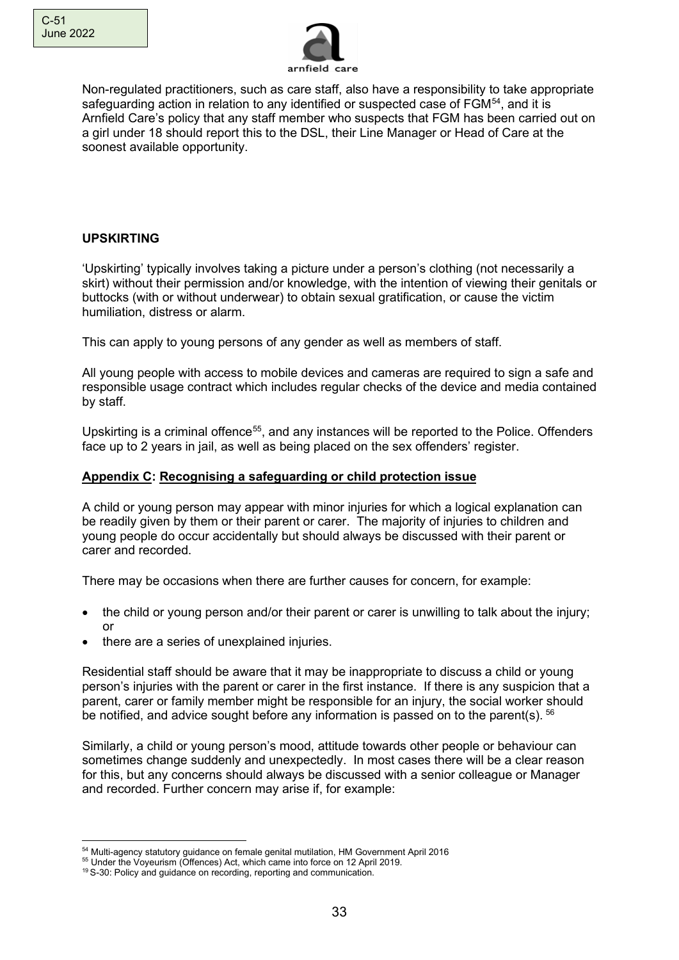

Non-regulated practitioners, such as care staff, also have a responsibility to take appropriate safeguarding action in relation to any identified or suspected case of  $FGM<sup>54</sup>$  $FGM<sup>54</sup>$  $FGM<sup>54</sup>$ , and it is Arnfield Care's policy that any staff member who suspects that FGM has been carried out on a girl under 18 should report this to the DSL, their Line Manager or Head of Care at the soonest available opportunity.

# **UPSKIRTING**

'Upskirting' typically involves taking a picture under a person's clothing (not necessarily a skirt) without their permission and/or knowledge, with the intention of viewing their genitals or buttocks (with or without underwear) to obtain sexual gratification, or cause the victim humiliation, distress or alarm.

This can apply to young persons of any gender as well as members of staff.

All young people with access to mobile devices and cameras are required to sign a safe and responsible usage contract which includes regular checks of the device and media contained by staff.

Upskirting is a criminal offence<sup>[55](#page-32-1)</sup>, and any instances will be reported to the Police. Offenders face up to 2 years in jail, as well as being placed on the sex offenders' register.

### **Appendix C: Recognising a safeguarding or child protection issue**

A child or young person may appear with minor injuries for which a logical explanation can be readily given by them or their parent or carer. The majority of injuries to children and young people do occur accidentally but should always be discussed with their parent or carer and recorded.

There may be occasions when there are further causes for concern, for example:

- the child or young person and/or their parent or carer is unwilling to talk about the injury; or
- there are a series of unexplained injuries.

Residential staff should be aware that it may be inappropriate to discuss a child or young person's injuries with the parent or carer in the first instance. If there is any suspicion that a parent, carer or family member might be responsible for an injury, the social worker should be notified, and advice sought before any information is passed on to the parent(s). <sup>[56](#page-32-2)</sup>

Similarly, a child or young person's mood, attitude towards other people or behaviour can sometimes change suddenly and unexpectedly. In most cases there will be a clear reason for this, but any concerns should always be discussed with a senior colleague or Manager and recorded. Further concern may arise if, for example:

<span id="page-32-0"></span><sup>54</sup> Multi-agency statutory guidance on female genital mutilation, HM Government April 2016

<span id="page-32-1"></span><sup>55</sup> Under the Voyeurism (Offences) Act, which came into force on 12 April 2019.

<span id="page-32-2"></span><sup>&</sup>lt;sup>19</sup> S-30: Policy and guidance on recording, reporting and communication.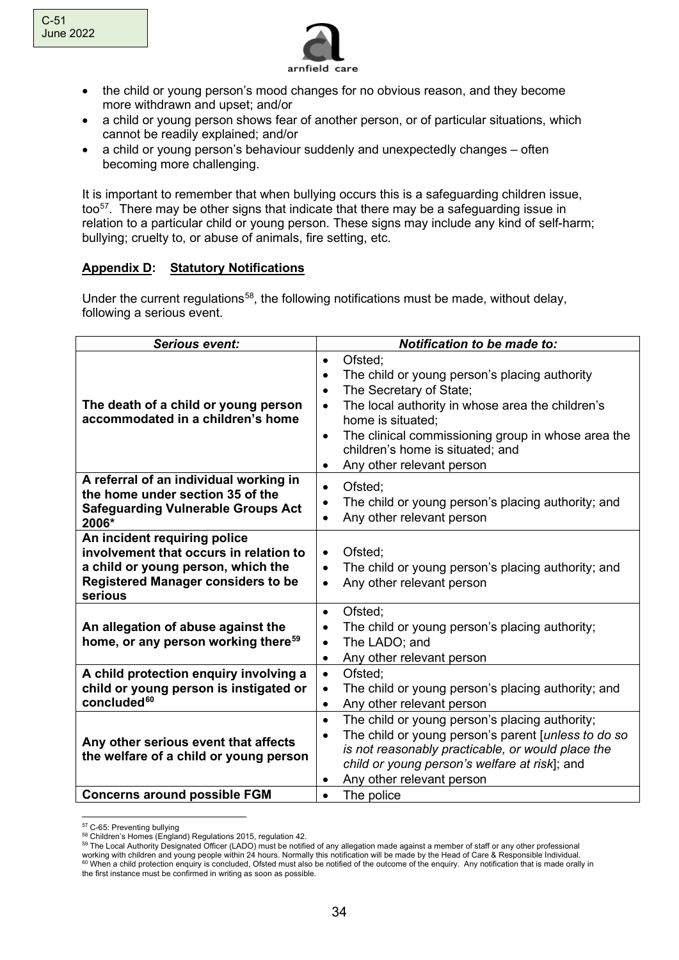

- the child or young person's mood changes for no obvious reason, and they become more withdrawn and upset; and/or
- a child or young person shows fear of another person, or of particular situations, which cannot be readily explained; and/or
- a child or young person's behaviour suddenly and unexpectedly changes often becoming more challenging.

It is important to remember that when bullying occurs this is a safeguarding children issue, too<sup>57</sup>. There may be other signs that indicate that there may be a safeguarding issue in relation to a particular child or young person. These signs may include any kind of self-harm; bullying; cruelty to, or abuse of animals, fire setting, etc.

### **Appendix D: Statutory Notifications**

Under the current regulations<sup>58</sup>, the following notifications must be made, without delay, following a serious event.

| <b>Serious event:</b>                                                                                                                                                | Notification to be made to:                                                                                                                                                                                                                                                                                                                          |
|----------------------------------------------------------------------------------------------------------------------------------------------------------------------|------------------------------------------------------------------------------------------------------------------------------------------------------------------------------------------------------------------------------------------------------------------------------------------------------------------------------------------------------|
| The death of a child or young person<br>accommodated in a children's home                                                                                            | Ofsted;<br>$\bullet$<br>The child or young person's placing authority<br>$\bullet$<br>The Secretary of State;<br>$\bullet$<br>The local authority in whose area the children's<br>home is situated;<br>The clinical commissioning group in whose area the<br>$\bullet$<br>children's home is situated; and<br>Any other relevant person<br>$\bullet$ |
| A referral of an individual working in<br>the home under section 35 of the<br><b>Safeguarding Vulnerable Groups Act</b><br>2006*                                     | Ofsted;<br>$\bullet$<br>The child or young person's placing authority; and<br>Any other relevant person                                                                                                                                                                                                                                              |
| An incident requiring police<br>involvement that occurs in relation to<br>a child or young person, which the<br><b>Registered Manager considers to be</b><br>serious | Ofsted;<br>$\bullet$<br>The child or young person's placing authority; and<br>$\bullet$<br>Any other relevant person                                                                                                                                                                                                                                 |
| An allegation of abuse against the<br>home, or any person working there <sup>59</sup>                                                                                | Ofsted;<br>$\bullet$<br>The child or young person's placing authority;<br>$\bullet$<br>The LADO; and<br>Any other relevant person<br>$\bullet$                                                                                                                                                                                                       |
| A child protection enquiry involving a<br>child or young person is instigated or<br>concluded <sup>60</sup>                                                          | Ofsted:<br>$\bullet$<br>The child or young person's placing authority; and<br>$\bullet$<br>Any other relevant person<br>$\bullet$                                                                                                                                                                                                                    |
| Any other serious event that affects<br>the welfare of a child or young person                                                                                       | The child or young person's placing authority;<br>$\bullet$<br>The child or young person's parent [unless to do so<br>is not reasonably practicable, or would place the<br>child or young person's welfare at risk]; and<br>Any other relevant person                                                                                                |
| <b>Concerns around possible FGM</b>                                                                                                                                  | The police<br>$\bullet$                                                                                                                                                                                                                                                                                                                              |

<span id="page-33-0"></span><sup>57</sup> C-65: Preventing bullying

<span id="page-33-1"></span><sup>58</sup> Children's Homes (England) Regulations 2015, regulation 42.

<sup>59</sup> The Local Authority Designated Officer (LADO) must be notified of any allegation made against a member of staff or any other professional

<span id="page-33-3"></span><span id="page-33-2"></span>working with children and young people within 24 hours. Normally this notification will be made by the Head of Care & Responsible Individual.<br><sup>60</sup> When a child protection enquiry is concluded, Ofsted must also be notified

the first instance must be confirmed in writing as soon as possible.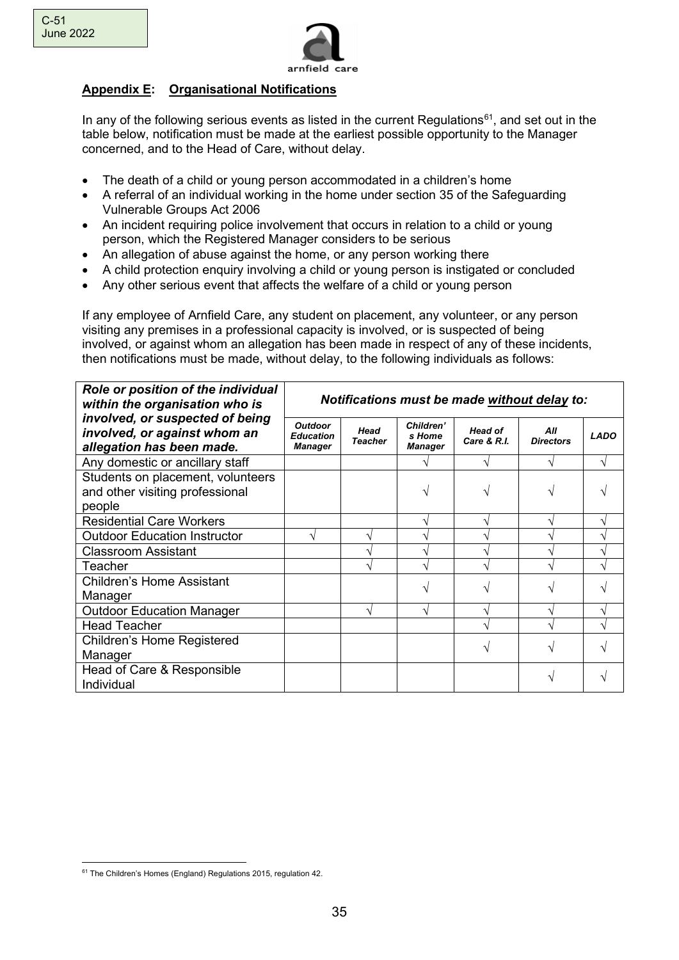

# **Appendix E: Organisational Notifications**

In any of the following serious events as listed in the current Regulations<sup>[61](#page-34-0)</sup>, and set out in the table below, notification must be made at the earliest possible opportunity to the Manager concerned, and to the Head of Care, without delay.

- The death of a child or young person accommodated in a children's home
- A referral of an individual working in the home under section 35 of the Safeguarding Vulnerable Groups Act 2006
- An incident requiring police involvement that occurs in relation to a child or young person, which the Registered Manager considers to be serious
- An allegation of abuse against the home, or any person working there
- A child protection enquiry involving a child or young person is instigated or concluded
- Any other serious event that affects the welfare of a child or young person

If any employee of Arnfield Care, any student on placement, any volunteer, or any person visiting any premises in a professional capacity is involved, or is suspected of being involved, or against whom an allegation has been made in respect of any of these incidents, then notifications must be made, without delay, to the following individuals as follows:

| Role or position of the individual<br>within the organisation who is                         | Notifications must be made without delay to:         |                        |                                       |                               |                         |             |
|----------------------------------------------------------------------------------------------|------------------------------------------------------|------------------------|---------------------------------------|-------------------------------|-------------------------|-------------|
| involved, or suspected of being<br>involved, or against whom an<br>allegation has been made. | <b>Outdoor</b><br><b>Education</b><br><b>Manager</b> | Head<br><b>Teacher</b> | Children'<br>s Home<br><b>Manager</b> | <b>Head of</b><br>Care & R.I. | All<br><b>Directors</b> | <b>LADO</b> |
| Any domestic or ancillary staff                                                              |                                                      |                        |                                       |                               |                         |             |
| Students on placement, volunteers                                                            |                                                      |                        |                                       |                               |                         |             |
| and other visiting professional                                                              |                                                      |                        |                                       |                               |                         |             |
| people                                                                                       |                                                      |                        |                                       |                               |                         |             |
| <b>Residential Care Workers</b>                                                              |                                                      |                        |                                       |                               |                         |             |
| <b>Outdoor Education Instructor</b>                                                          |                                                      |                        |                                       |                               |                         |             |
| <b>Classroom Assistant</b>                                                                   |                                                      |                        |                                       |                               |                         |             |
| Teacher                                                                                      |                                                      |                        |                                       |                               |                         |             |
| <b>Children's Home Assistant</b>                                                             |                                                      |                        |                                       |                               |                         |             |
| Manager                                                                                      |                                                      |                        |                                       |                               |                         |             |
| <b>Outdoor Education Manager</b>                                                             |                                                      |                        | ٦                                     |                               |                         |             |
| <b>Head Teacher</b>                                                                          |                                                      |                        |                                       |                               |                         |             |
| Children's Home Registered                                                                   |                                                      |                        |                                       |                               |                         |             |
| Manager                                                                                      |                                                      |                        |                                       |                               |                         |             |
| Head of Care & Responsible                                                                   |                                                      |                        |                                       |                               |                         |             |
| Individual                                                                                   |                                                      |                        |                                       |                               |                         |             |

<span id="page-34-0"></span><sup>61</sup> The Children's Homes (England) Regulations 2015, regulation 42.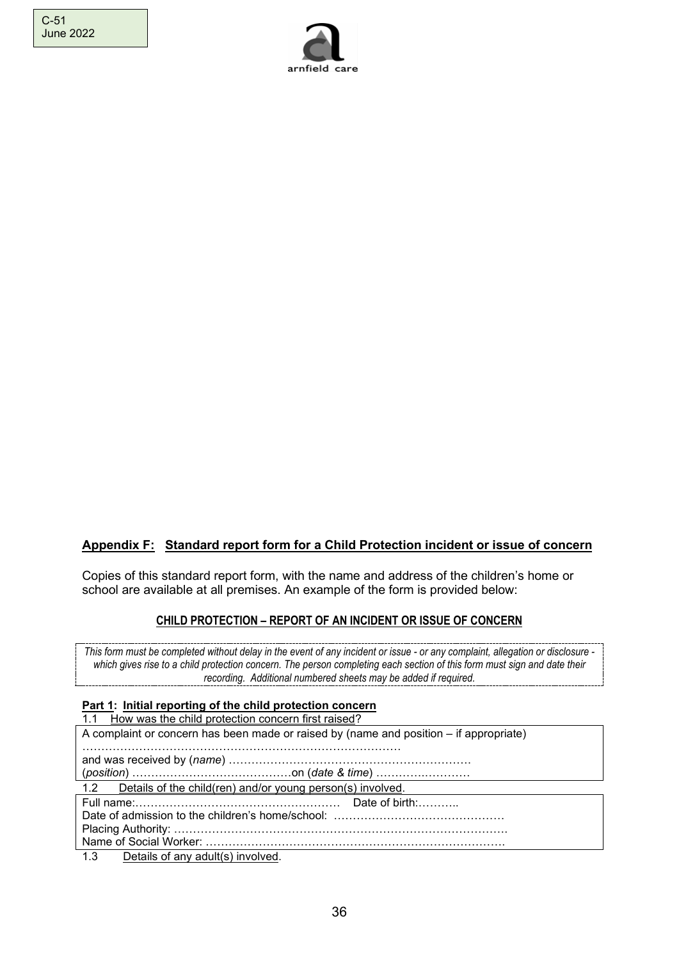

# **Appendix F: Standard report form for a Child Protection incident or issue of concern**

Copies of this standard report form, with the name and address of the children's home or school are available at all premises. An example of the form is provided below:

#### **CHILD PROTECTION – REPORT OF AN INCIDENT OR ISSUE OF CONCERN**

*This form must be completed without delay in the event of any incident or issue - or any complaint, allegation or disclosure which gives rise to a child protection concern. The person completing each section of this form must sign and date their recording. Additional numbered sheets may be added if required.* 

### **Part 1: Initial reporting of the child protection concern**

| 1.1 How was the child protection concern first raised?                                 |  |  |
|----------------------------------------------------------------------------------------|--|--|
| A complaint or concern has been made or raised by (name and position – if appropriate) |  |  |
|                                                                                        |  |  |
|                                                                                        |  |  |
|                                                                                        |  |  |
| 1.2 Details of the child(ren) and/or young person(s) involved.                         |  |  |
|                                                                                        |  |  |
|                                                                                        |  |  |
|                                                                                        |  |  |
|                                                                                        |  |  |
| 1.3 Details of any adult(s) involved.                                                  |  |  |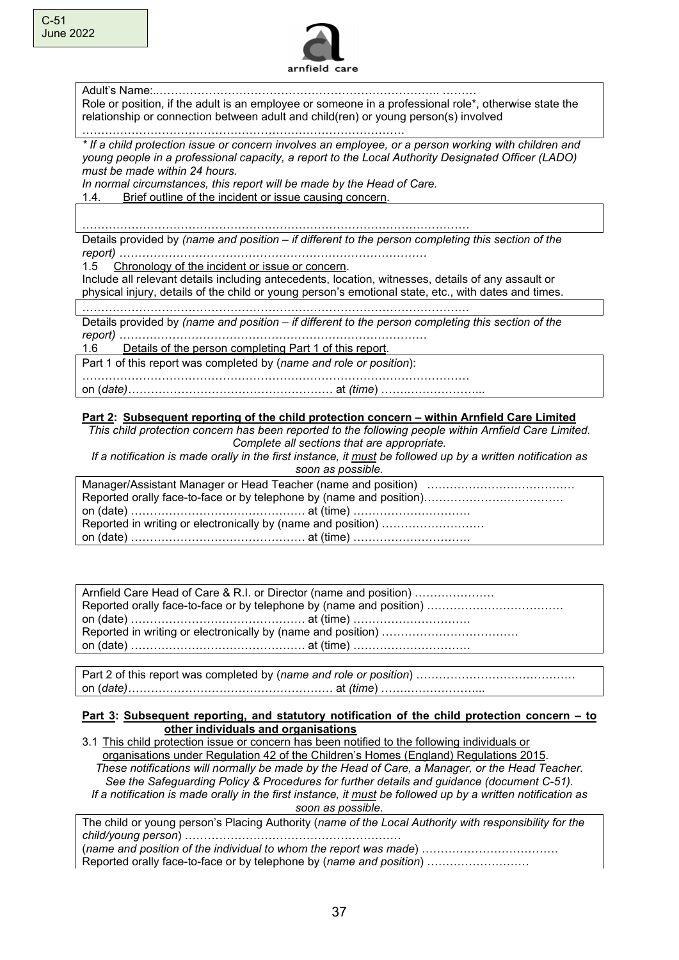

Adult's Name:..……………………………………………………………….. ……… Role or position, if the adult is an employee or someone in a professional role\*, otherwise state the relationship or connection between adult and child(ren) or young person(s) involved

………………………………………………………………………….

*\* If a child protection issue or concern involves an employee, or a person working with children and young people in a professional capacity, a report to the Local Authority Designated Officer (LADO) must be made within 24 hours.* 

*In normal circumstances, this report will be made by the Head of Care.* 

1.4. Brief outline of the incident or issue causing concern.

………………………………………………………………………………………… Details provided by *(name and position – if different to the person completing this section of the* 

*report) ………………………………………………………………………* 

1.5 Chronology of the incident or issue or concern.

Include all relevant details including antecedents, location, witnesses, details of any assault or physical injury, details of the child or young person's emotional state, etc., with dates and times.

…………………………………………………………………………………………

Details provided by *(name and position – if different to the person completing this section of the report) ………………………………………………………………………* 

1.6 Details of the person completing Part 1 of this report.

Part 1 of this report was completed by (*name and role or position*):

………………………………………………………………………………………… on (*date)………………………………………………* at *(time*) …….………………...

**Part 2: Subsequent reporting of the child protection concern – within Arnfield Care Limited**

*This child protection concern has been reported to the following people within Arnfield Care Limited. Complete all sections that are appropriate.*

*If a notification is made orally in the first instance, it must be followed up by a written notification as soon as possible.*

| Reported in writing or electronically by (name and position) |
|--------------------------------------------------------------|
|                                                              |

| Arnfield Care Head of Care & R.I. or Director (name and position) |  |  |
|-------------------------------------------------------------------|--|--|
|                                                                   |  |  |
|                                                                   |  |  |
|                                                                   |  |  |
|                                                                   |  |  |

Part 2 of this report was completed by (*name and role or position*) …………………………………… on (*date)………………………………………………* at *(time*) …….………………...

#### **Part 3: Subsequent reporting, and statutory notification of the child protection concern - to other individuals and organisations**

3.1 This child protection issue or concern has been notified to the following individuals or organisations under Regulation 42 of the Children's Homes (England) Regulations 2015. *These notifications will normally be made by the Head of Care, a Manager, or the Head Teacher. See the Safeguarding Policy & Procedures for further details and guidance (document C-51). If a notification is made orally in the first instance, it must be followed up by a written notification as soon as possible.*

The child or young person's Placing Authority (*name of the Local Authority with responsibility for the child/young person*) …………………………………………………

(*name and position of the individual to whom the report was made*) ……………………………… Reported orally face-to-face or by telephone by (*name and position*) ………………………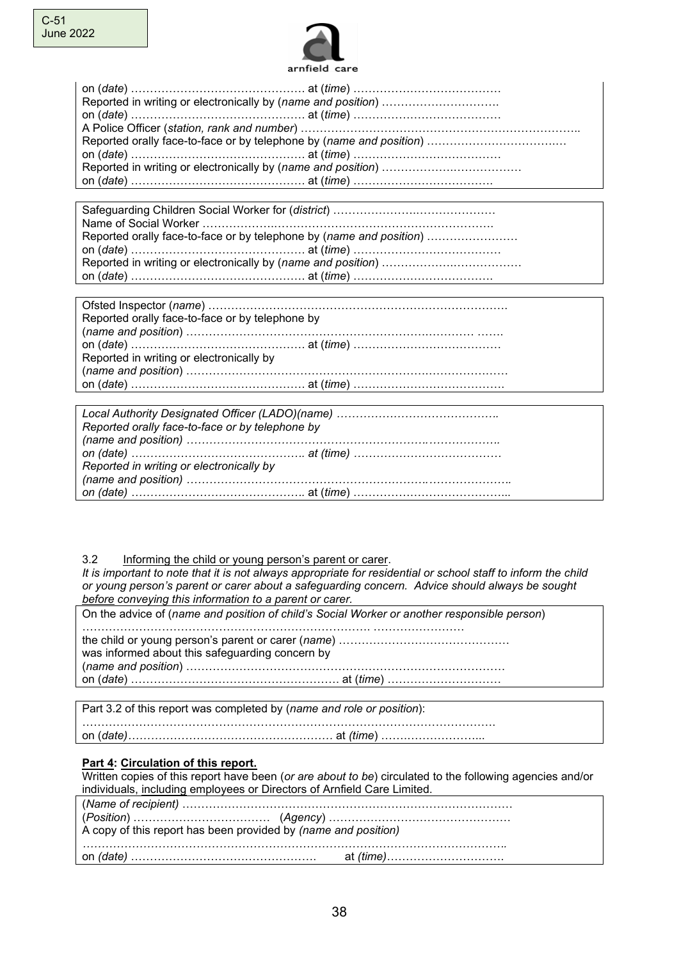

Safeguarding Children Social Worker for (*district*) ………………….………………… Name of Social Worker ……………….…………………………………………………. Reported orally face-to-face or by telephone by (*name and position*) …………………… on (*date*) ………………………………………. at (*time*) ………………………………… Reported in writing or electronically by (*name and position*) ……………….……………… on (*date*) ………………………………………. at (*time*) ……………………………….

| Reported orally face-to-face or by telephone by |  |
|-------------------------------------------------|--|
|                                                 |  |
|                                                 |  |
| Reported in writing or electronically by        |  |
|                                                 |  |
|                                                 |  |

| Reported orally face-to-face or by telephone by |  |
|-------------------------------------------------|--|
|                                                 |  |
|                                                 |  |
| Reported in writing or electronically by        |  |
|                                                 |  |
|                                                 |  |

#### 3.2 Informing the child or young person's parent or carer.

*It is important to note that it is not always appropriate for residential or school staff to inform the child or young person's parent or carer about a safeguarding concern. Advice should always be sought before conveying this information to a parent or carer.* 

| On the advice of (name and position of child's Social Worker or another responsible person) |
|---------------------------------------------------------------------------------------------|
| was informed about this safeguarding concern by                                             |
|                                                                                             |

| Part 3.2 of this report was completed by (name and role or position): |  |
|-----------------------------------------------------------------------|--|
|                                                                       |  |

#### **Part 4: Circulation of this report.**

Written copies of this report have been (*or are about to be*) circulated to the following agencies and/or individuals, including employees or Directors of Arnfield Care Limited.

| A copy of this report has been provided by (name and position) |  |
|----------------------------------------------------------------|--|
|                                                                |  |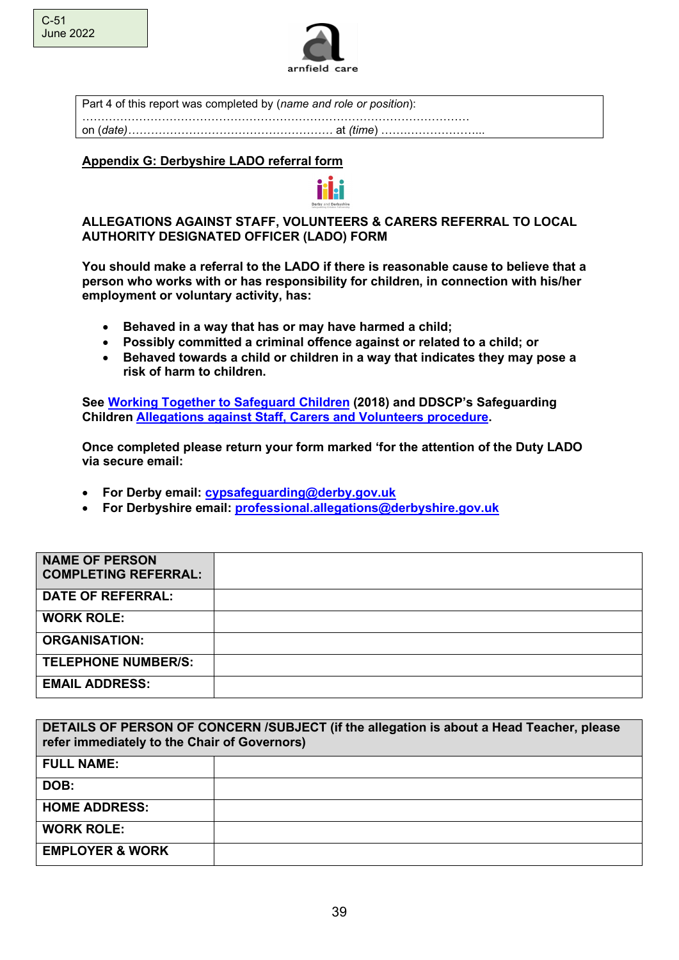

Part 4 of this report was completed by (*name and role or position*): ………………………………………………………………………………………… on (*date)………………………………………………* at *(time*) …….………………...

### **Appendix G: Derbyshire LADO referral form**



**You should make a referral to the LADO if there is reasonable cause to believe that a person who works with or has responsibility for children, in connection with his/her employment or voluntary activity, has:**

- **Behaved in a way that has or may have harmed a child;**
- **Possibly committed a criminal offence against or related to a child; or**
- **Behaved towards a child or children in a way that indicates they may pose a risk of harm to children.**

**See [Working Together to Safeguard Children](https://www.gov.uk/government/publications/working-together-to-safeguard-children--2) (2018) and DDSCP's Safeguarding Children [Allegations against Staff, Carers and Volunteers procedure.](http://derbyshirescbs.proceduresonline.com/p_alleg_staff_carer_volunteer.html)** 

**Once completed please return your form marked 'for the attention of the Duty LADO via secure email:** 

- **For Derby email: [cypsafeguarding@derby.gov.uk](mailto:cypsafeguarding@derby.gov.uk)**
- **For Derbyshire email: [professional.allegations@derbyshire.gov.uk](mailto:professional.allegations@derbyshire.gov.uk)**

| <b>NAME OF PERSON</b><br><b>COMPLETING REFERRAL:</b> |  |
|------------------------------------------------------|--|
| <b>DATE OF REFERRAL:</b>                             |  |
| <b>WORK ROLE:</b>                                    |  |
| <b>ORGANISATION:</b>                                 |  |
| <b>TELEPHONE NUMBER/S:</b>                           |  |
| <b>EMAIL ADDRESS:</b>                                |  |

| DETAILS OF PERSON OF CONCERN /SUBJECT (if the allegation is about a Head Teacher, please<br>refer immediately to the Chair of Governors) |  |  |
|------------------------------------------------------------------------------------------------------------------------------------------|--|--|
| <b>FULL NAME:</b>                                                                                                                        |  |  |
| DOB:                                                                                                                                     |  |  |
| <b>HOME ADDRESS:</b>                                                                                                                     |  |  |
| <b>WORK ROLE:</b>                                                                                                                        |  |  |
| <b>EMPLOYER &amp; WORK</b>                                                                                                               |  |  |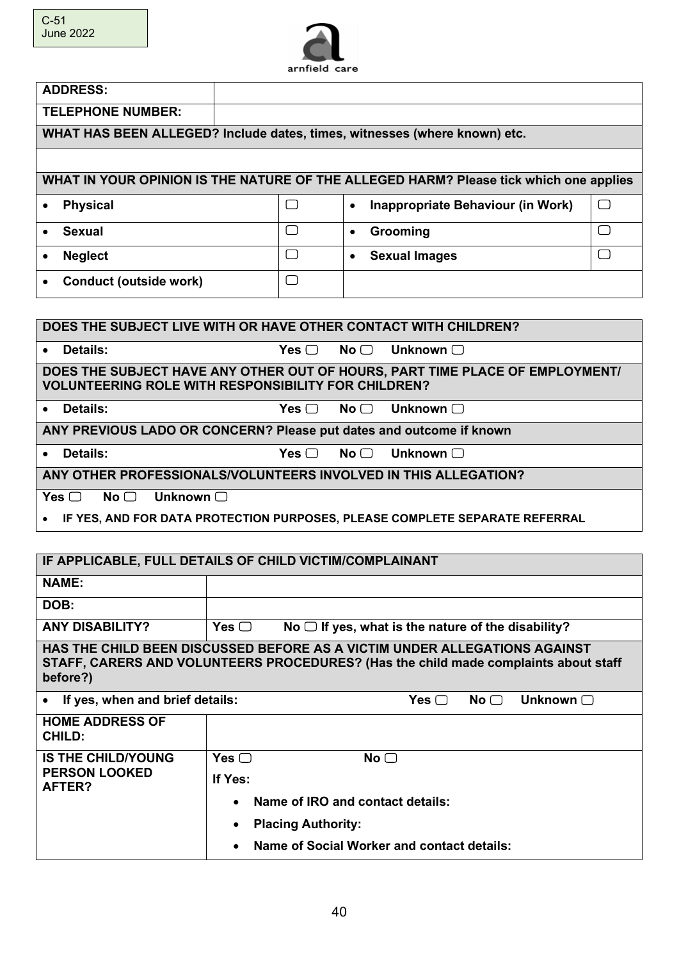

| <b>ADDRESS:</b>                                                           |                                                                                       |        |
|---------------------------------------------------------------------------|---------------------------------------------------------------------------------------|--------|
| <b>TELEPHONE NUMBER:</b>                                                  |                                                                                       |        |
| WHAT HAS BEEN ALLEGED? Include dates, times, witnesses (where known) etc. |                                                                                       |        |
|                                                                           |                                                                                       |        |
|                                                                           | WHAT IN YOUR OPINION IS THE NATURE OF THE ALLEGED HARM? Please tick which one applies |        |
| <b>Physical</b><br>$\bullet$                                              | Inappropriate Behaviour (in Work)<br>$\bullet$                                        | $\Box$ |
| <b>Sexual</b><br>$\bullet$                                                | Grooming<br>$\bullet$                                                                 |        |
| <b>Neglect</b><br>$\bullet$                                               | <b>Sexual Images</b><br>$\bullet$                                                     |        |
| Conduct (outside work)<br>$\bullet$                                       |                                                                                       |        |
|                                                                           |                                                                                       |        |

| DOES THE SUBJECT LIVE WITH OR HAVE OTHER CONTACT WITH CHILDREN?               |            |                                                                              |
|-------------------------------------------------------------------------------|------------|------------------------------------------------------------------------------|
| Details:<br>$\bullet$                                                         | Yes $\Box$ | $\mathsf{No}\ \Box$ Unknown $\Box$                                           |
| <b>VOLUNTEERING ROLE WITH RESPONSIBILITY FOR CHILDREN?</b>                    |            | DOES THE SUBJECT HAVE ANY OTHER OUT OF HOURS, PART TIME PLACE OF EMPLOYMENT/ |
| • Details:                                                                    | Yes $\Box$ | $\mathsf{No}\ \Box$ Unknown $\Box$                                           |
| ANY PREVIOUS LADO OR CONCERN? Please put dates and outcome if known           |            |                                                                              |
| • Details:                                                                    | Yes $\Box$ | $\mathsf{No}\ \Box$ Unknown $\Box$                                           |
| ANY OTHER PROFESSIONALS/VOLUNTEERS INVOLVED IN THIS ALLEGATION?               |            |                                                                              |
| Yes $\Box$<br>Unknown $\Box$<br>$No \square$                                  |            |                                                                              |
| • IF YES, AND FOR DATA PROTECTION PURPOSES, PLEASE COMPLETE SEPARATE REFERRAL |            |                                                                              |

|                                         | IF APPLICABLE, FULL DETAILS OF CHILD VICTIM/COMPLAINANT                                                                                                          |
|-----------------------------------------|------------------------------------------------------------------------------------------------------------------------------------------------------------------|
| <b>NAME:</b>                            |                                                                                                                                                                  |
| DOB:                                    |                                                                                                                                                                  |
| <b>ANY DISABILITY?</b>                  | No $\Box$ If yes, what is the nature of the disability?<br>Yes $\Box$                                                                                            |
| before?)                                | HAS THE CHILD BEEN DISCUSSED BEFORE AS A VICTIM UNDER ALLEGATIONS AGAINST<br>STAFF, CARERS AND VOLUNTEERS PROCEDURES? (Has the child made complaints about staff |
| If yes, when and brief details:         | Unknown $\Box$<br>Yes $\Box$<br>No <sub>1</sub>                                                                                                                  |
| <b>HOME ADDRESS OF</b><br><b>CHILD:</b> |                                                                                                                                                                  |
| <b>IS THE CHILD/YOUNG</b>               | Yes $\Box$<br>No $\Box$                                                                                                                                          |
| <b>PERSON LOOKED</b><br>AFTER?          | If Yes:                                                                                                                                                          |
|                                         | Name of IRO and contact details:<br>$\bullet$                                                                                                                    |
|                                         | <b>Placing Authority:</b><br>٠                                                                                                                                   |
|                                         | Name of Social Worker and contact details:<br>$\bullet$                                                                                                          |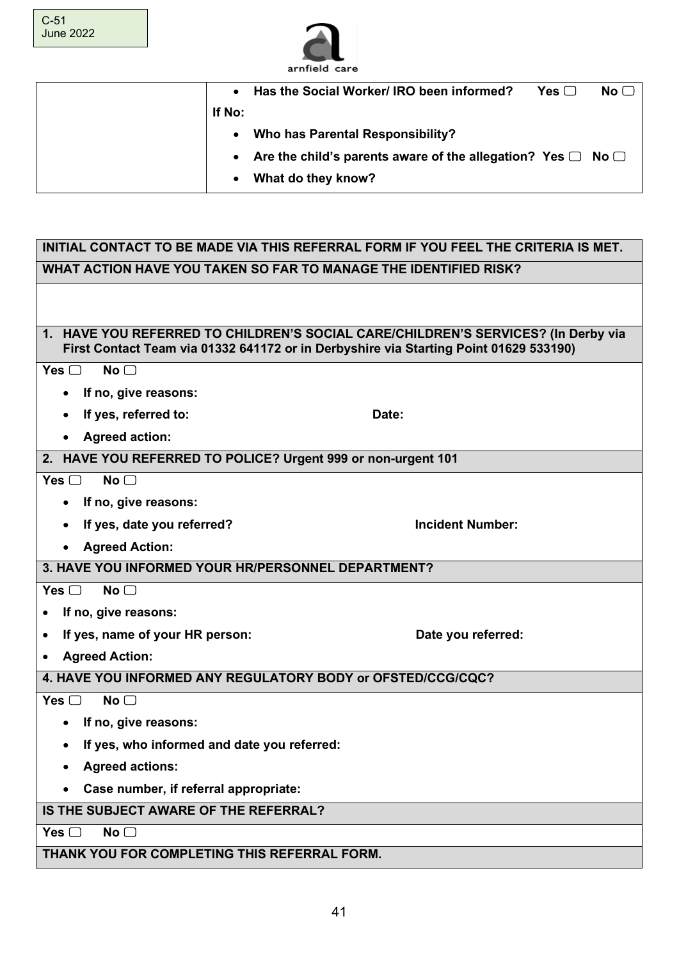

| $\bullet$ | Has the Social Worker/ IRO been informed?                               | Yes $\Box$ | No <sub>1</sub> |
|-----------|-------------------------------------------------------------------------|------------|-----------------|
| If No:    |                                                                         |            |                 |
| $\bullet$ | Who has Parental Responsibility?                                        |            |                 |
|           | • Are the child's parents aware of the allegation? Yes $\Box$ No $\Box$ |            |                 |
| $\bullet$ | What do they know?                                                      |            |                 |

| INITIAL CONTACT TO BE MADE VIA THIS REFERRAL FORM IF YOU FEEL THE CRITERIA IS MET.                                                                                         |                         |  |  |
|----------------------------------------------------------------------------------------------------------------------------------------------------------------------------|-------------------------|--|--|
| WHAT ACTION HAVE YOU TAKEN SO FAR TO MANAGE THE IDENTIFIED RISK?                                                                                                           |                         |  |  |
|                                                                                                                                                                            |                         |  |  |
|                                                                                                                                                                            |                         |  |  |
| 1. HAVE YOU REFERRED TO CHILDREN'S SOCIAL CARE/CHILDREN'S SERVICES? (In Derby via<br>First Contact Team via 01332 641172 or in Derbyshire via Starting Point 01629 533190) |                         |  |  |
| Yes $\Box$<br>No <sub>1</sub>                                                                                                                                              |                         |  |  |
| If no, give reasons:                                                                                                                                                       |                         |  |  |
| If yes, referred to:                                                                                                                                                       | Date:                   |  |  |
| <b>Agreed action:</b>                                                                                                                                                      |                         |  |  |
| 2. HAVE YOU REFERRED TO POLICE? Urgent 999 or non-urgent 101                                                                                                               |                         |  |  |
| Yes $\Box$<br>$No \bigcap$                                                                                                                                                 |                         |  |  |
| If no, give reasons:                                                                                                                                                       |                         |  |  |
| If yes, date you referred?                                                                                                                                                 | <b>Incident Number:</b> |  |  |
| <b>Agreed Action:</b>                                                                                                                                                      |                         |  |  |
| 3. HAVE YOU INFORMED YOUR HR/PERSONNEL DEPARTMENT?                                                                                                                         |                         |  |  |
| Yes $\Box$<br>No <sub>1</sub>                                                                                                                                              |                         |  |  |
| If no, give reasons:                                                                                                                                                       |                         |  |  |
| If yes, name of your HR person:<br>٠                                                                                                                                       | Date you referred:      |  |  |
| <b>Agreed Action:</b>                                                                                                                                                      |                         |  |  |
| 4. HAVE YOU INFORMED ANY REGULATORY BODY or OFSTED/CCG/CQC?                                                                                                                |                         |  |  |
| Yes $\Box$<br>$No$ $\Box$                                                                                                                                                  |                         |  |  |
| If no, give reasons:                                                                                                                                                       |                         |  |  |
| If yes, who informed and date you referred:<br>$\bullet$                                                                                                                   |                         |  |  |
| <b>Agreed actions:</b>                                                                                                                                                     |                         |  |  |
| Case number, if referral appropriate:                                                                                                                                      |                         |  |  |
| IS THE SUBJECT AWARE OF THE REFERRAL?                                                                                                                                      |                         |  |  |
| Yes $\Box$<br>No <sub>1</sub>                                                                                                                                              |                         |  |  |
| THANK YOU FOR COMPLETING THIS REFERRAL FORM.                                                                                                                               |                         |  |  |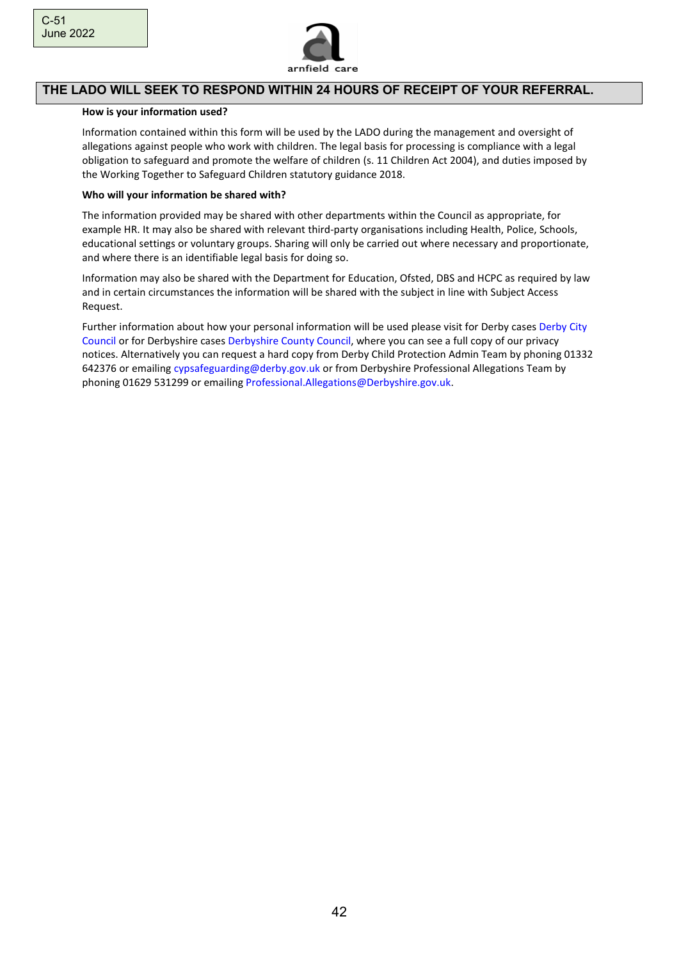

#### **THE LADO WILL SEEK TO RESPOND WITHIN 24 HOURS OF RECEIPT OF YOUR REFERRAL.**

#### **How is your information used?**

Information contained within this form will be used by the LADO during the management and oversight of allegations against people who work with children. The legal basis for processing is compliance with a legal obligation to safeguard and promote the welfare of children (s. 11 Children Act 2004), and duties imposed by the Working Together to Safeguard Children statutory guidance 2018.

#### **Who will your information be shared with?**

The information provided may be shared with other departments within the Council as appropriate, for example HR. It may also be shared with relevant third-party organisations including Health, Police, Schools, educational settings or voluntary groups. Sharing will only be carried out where necessary and proportionate, and where there is an identifiable legal basis for doing so.

Information may also be shared with the Department for Education, Ofsted, DBS and HCPC as required by law and in certain circumstances the information will be shared with the subject in line with Subject Access Request.

Further information about how your personal information will be used please visit for Derby cases Derby City Council or for Derbyshire cases Derbyshire County Council, where you can see a full copy of our privacy notices. Alternatively you can request a hard copy from Derby Child Protection Admin Team by phoning 01332 642376 or emailing cypsafeguarding@derby.gov.uk or from Derbyshire Professional Allegations Team by phoning 01629 531299 or emailing Professional.Allegations@Derbyshire.gov.uk.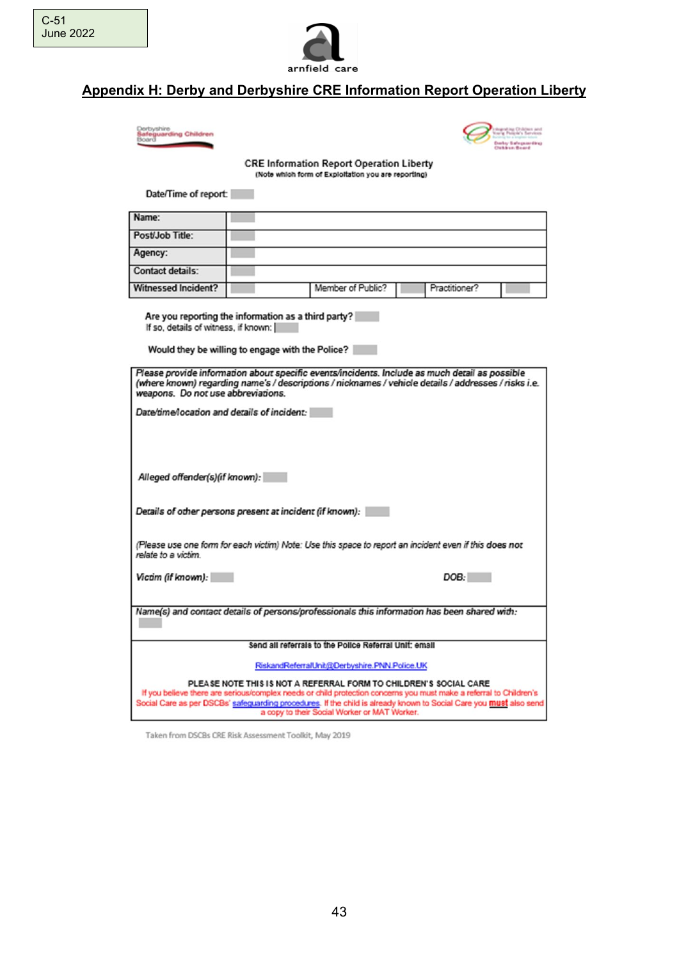

# **Appendix H: Derby and Derbyshire CRE Information Report Operation Liberty**





**CRE Information Report Operation Liberty** (Note which form of Exploitation you are reporting)

Date/Time of report:

| Name:                      |                   |               |
|----------------------------|-------------------|---------------|
| Post/Job Title:            |                   |               |
| Agency:                    |                   |               |
| <b>Contact details:</b>    |                   |               |
| <b>Witnessed Incident?</b> | Member of Public? | Practitioner? |

Are you reporting the information as a third party? If so, details of witness, if known:

Would they be willing to engage with the Police?

| Please provide information about specific events/incidents. Include as much detail as possible<br>(where known) regarding name's / descriptions / nicknames / vehicle details / addresses / risks i.e.<br>weapons. Do not use abbreviations.                                                                                                                  |
|---------------------------------------------------------------------------------------------------------------------------------------------------------------------------------------------------------------------------------------------------------------------------------------------------------------------------------------------------------------|
| Date/time/location and details of incident:                                                                                                                                                                                                                                                                                                                   |
|                                                                                                                                                                                                                                                                                                                                                               |
|                                                                                                                                                                                                                                                                                                                                                               |
| Alleged offender(s)(if known):                                                                                                                                                                                                                                                                                                                                |
| Details of other persons present at incident (if known):                                                                                                                                                                                                                                                                                                      |
| (Please use one form for each victim) Note: Use this space to report an incident even if this does not<br>relate to a victim.                                                                                                                                                                                                                                 |
| Victim (if known):<br>DOB:                                                                                                                                                                                                                                                                                                                                    |
|                                                                                                                                                                                                                                                                                                                                                               |
| Name(s) and contact details of persons/professionals this information has been shared with:                                                                                                                                                                                                                                                                   |
| Send all referrals to the Police Referral Unit: email                                                                                                                                                                                                                                                                                                         |
| RiskandReferralUnit@Derbyshire.PNN.Police.UK                                                                                                                                                                                                                                                                                                                  |
| PLEASE NOTE THIS IS NOT A REFERRAL FORM TO CHILDREN'S SOCIAL CARE<br>If you believe there are serious/complex needs or child protection concerns you must make a referral to Children's<br>Social Care as per DSCBs' safeguarding procedures. If the child is already known to Social Care you must also send<br>a copy to their Social Worker or MAT Worker. |

Taken from DSCBs CRE Risk Assessment Toolkit, May 2019